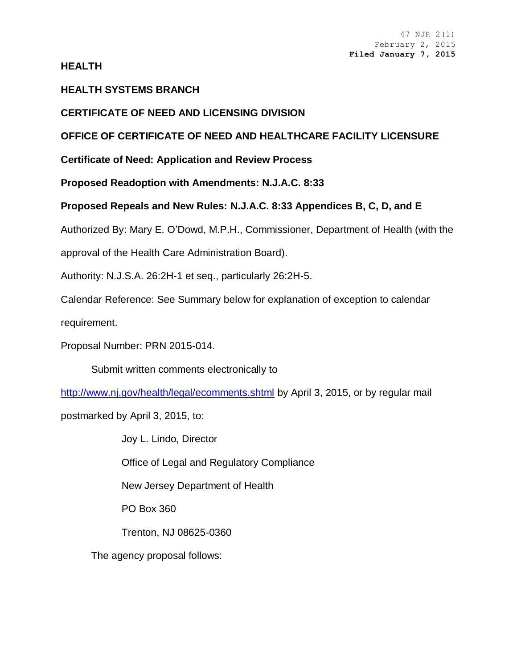**HEALTH**

# **HEALTH SYSTEMS BRANCH**

# **CERTIFICATE OF NEED AND LICENSING DIVISION**

# **OFFICE OF CERTIFICATE OF NEED AND HEALTHCARE FACILITY LICENSURE**

**Certificate of Need: Application and Review Process**

**Proposed Readoption with Amendments: N.J.A.C. 8:33**

## **Proposed Repeals and New Rules: N.J.A.C. 8:33 Appendices B, C, D, and E**

Authorized By: Mary E. O'Dowd, M.P.H., Commissioner, Department of Health (with the

approval of the Health Care Administration Board).

Authority: N.J.S.A. 26:2H-1 et seq., particularly 26:2H-5.

Calendar Reference: See Summary below for explanation of exception to calendar

requirement.

Proposal Number: PRN 2015-014.

Submit written comments electronically to

<http://www.nj.gov/health/legal/ecomments.shtml> by April 3, 2015, or by regular mail

postmarked by April 3, 2015, to:

Joy L. Lindo, Director Office of Legal and Regulatory Compliance New Jersey Department of Health PO Box 360

Trenton, NJ 08625-0360

The agency proposal follows: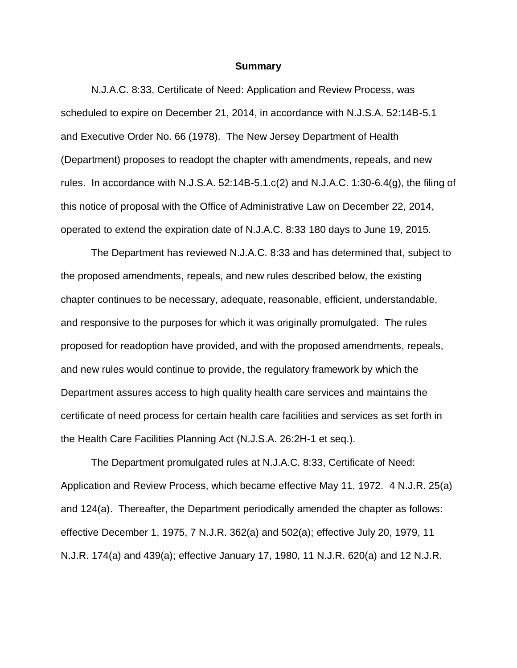#### **Summary**

N.J.A.C. 8:33, Certificate of Need: Application and Review Process, was scheduled to expire on December 21, 2014, in accordance with N.J.S.A. 52:14B-5.1 and Executive Order No. 66 (1978). The New Jersey Department of Health (Department) proposes to readopt the chapter with amendments, repeals, and new rules. In accordance with N.J.S.A.  $52:14B-5.1.C(2)$  and N.J.A.C. 1:30-6.4(q), the filing of this notice of proposal with the Office of Administrative Law on December 22, 2014, operated to extend the expiration date of N.J.A.C. 8:33 180 days to June 19, 2015.

The Department has reviewed N.J.A.C. 8:33 and has determined that, subject to the proposed amendments, repeals, and new rules described below, the existing chapter continues to be necessary, adequate, reasonable, efficient, understandable, and responsive to the purposes for which it was originally promulgated. The rules proposed for readoption have provided, and with the proposed amendments, repeals, and new rules would continue to provide, the regulatory framework by which the Department assures access to high quality health care services and maintains the certificate of need process for certain health care facilities and services as set forth in the Health Care Facilities Planning Act (N.J.S.A. 26:2H-1 et seq.).

The Department promulgated rules at N.J.A.C. 8:33, Certificate of Need: Application and Review Process, which became effective May 11, 1972. 4 N.J.R. 25(a) and 124(a). Thereafter, the Department periodically amended the chapter as follows: effective December 1, 1975, 7 N.J.R. 362(a) and 502(a); effective July 20, 1979, 11 N.J.R. 174(a) and 439(a); effective January 17, 1980, 11 N.J.R. 620(a) and 12 N.J.R.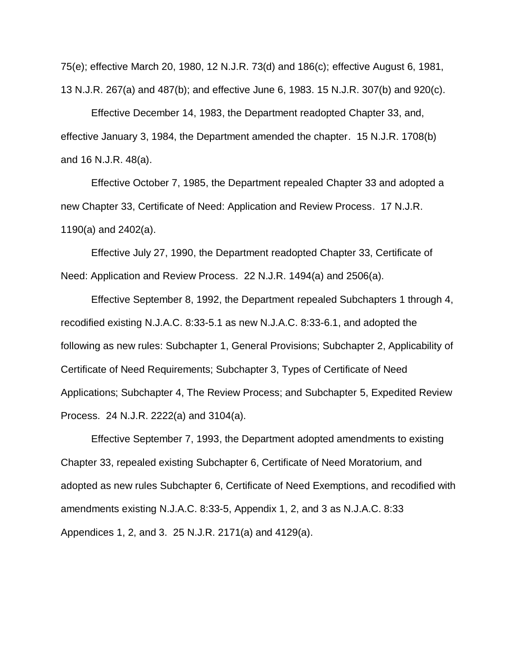75(e); effective March 20, 1980, 12 N.J.R. 73(d) and 186(c); effective August 6, 1981, 13 N.J.R. 267(a) and 487(b); and effective June 6, 1983. 15 N.J.R. 307(b) and 920(c).

Effective December 14, 1983, the Department readopted Chapter 33, and, effective January 3, 1984, the Department amended the chapter. 15 N.J.R. 1708(b) and 16 N.J.R. 48(a).

Effective October 7, 1985, the Department repealed Chapter 33 and adopted a new Chapter 33, Certificate of Need: Application and Review Process. 17 N.J.R. 1190(a) and 2402(a).

Effective July 27, 1990, the Department readopted Chapter 33, Certificate of Need: Application and Review Process. 22 N.J.R. 1494(a) and 2506(a).

Effective September 8, 1992, the Department repealed Subchapters 1 through 4, recodified existing N.J.A.C. 8:33-5.1 as new N.J.A.C. 8:33-6.1, and adopted the following as new rules: Subchapter 1, General Provisions; Subchapter 2, Applicability of Certificate of Need Requirements; Subchapter 3, Types of Certificate of Need Applications; Subchapter 4, The Review Process; and Subchapter 5, Expedited Review Process. 24 N.J.R. 2222(a) and 3104(a).

Effective September 7, 1993, the Department adopted amendments to existing Chapter 33, repealed existing Subchapter 6, Certificate of Need Moratorium, and adopted as new rules Subchapter 6, Certificate of Need Exemptions, and recodified with amendments existing N.J.A.C. 8:33-5, Appendix 1, 2, and 3 as N.J.A.C. 8:33 Appendices 1, 2, and 3. 25 N.J.R. 2171(a) and 4129(a).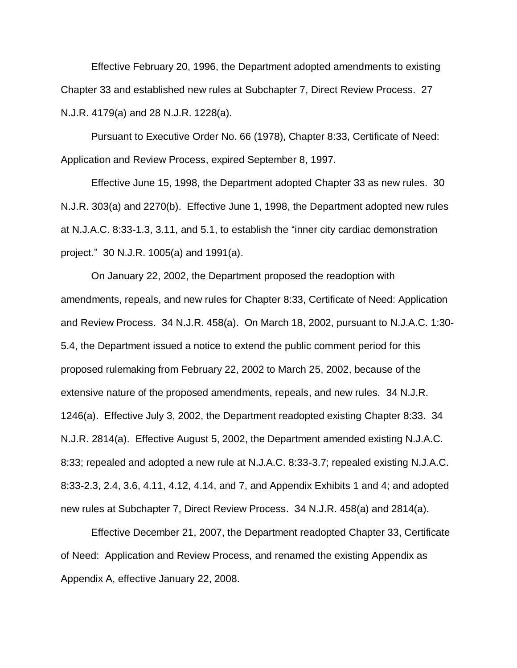Effective February 20, 1996, the Department adopted amendments to existing Chapter 33 and established new rules at Subchapter 7, Direct Review Process. 27 N.J.R. 4179(a) and 28 N.J.R. 1228(a).

Pursuant to Executive Order No. 66 (1978), Chapter 8:33, Certificate of Need: Application and Review Process, expired September 8, 1997.

Effective June 15, 1998, the Department adopted Chapter 33 as new rules. 30 N.J.R. 303(a) and 2270(b). Effective June 1, 1998, the Department adopted new rules at N.J.A.C. 8:33-1.3, 3.11, and 5.1, to establish the "inner city cardiac demonstration project." 30 N.J.R. 1005(a) and 1991(a).

On January 22, 2002, the Department proposed the readoption with amendments, repeals, and new rules for Chapter 8:33, Certificate of Need: Application and Review Process. 34 N.J.R. 458(a). On March 18, 2002, pursuant to [N.J.A.C. 1:30-](http://www.lexis.com/research/buttonTFLink?_m=e7d069550b3fb03ca65e8807c725c103&_xfercite=%3ccite%20cc%3d%22USA%22%3e%3c%21%5bCDATA%5b34%20N.J.R.%201246%28a%29%5d%5d%3e%3c%2fcite%3e&_butType=4&_butStat=0&_butNum=9&_butInline=1&_butinfo=NJ%20ADMIN%201%3a30-5.4&_fmtstr=FULL&docnum=1&_startdoc=1&wchp=dGLzVzB-zSkAA&_md5=36af30d492e28d0b49587c38db36bee8) [5.4,](http://www.lexis.com/research/buttonTFLink?_m=e7d069550b3fb03ca65e8807c725c103&_xfercite=%3ccite%20cc%3d%22USA%22%3e%3c%21%5bCDATA%5b34%20N.J.R.%201246%28a%29%5d%5d%3e%3c%2fcite%3e&_butType=4&_butStat=0&_butNum=9&_butInline=1&_butinfo=NJ%20ADMIN%201%3a30-5.4&_fmtstr=FULL&docnum=1&_startdoc=1&wchp=dGLzVzB-zSkAA&_md5=36af30d492e28d0b49587c38db36bee8) the Department issued a notice to extend the public comment period for this proposed rulemaking from February 22, 2002 to March 25, 2002, because of the extensive nature of the proposed amendments, repeals, and new rules. 34 N.J.R. 1246(a). Effective July 3, 2002, the Department readopted existing Chapter 8:33. 34 N.J.R. 2814(a). Effective August 5, 2002, the Department amended existing N.J.A.C. 8:33; repealed and adopted a new rule at N.J.A.C. 8:33-3.7; repealed existing [N.J.A.C.](http://www.lexis.com/research/buttonTFLink?_m=7a376854f84db2ef35e5c29886117a49&_xfercite=%3ccite%20cc%3d%22USA%22%3e%3c%21%5bCDATA%5b34%20N.J.R.%20458%28a%29%5d%5d%3e%3c%2fcite%3e&_butType=4&_butStat=0&_butNum=3&_butInline=1&_butinfo=NJ%20ADMIN%208%3a33-2.3&_fmtstr=FULL&docnum=1&_startdoc=1&wchp=dGLzVzB-zSkAA&_md5=be08ac40ffb7a47eb4e077d624b3e86f)  [8:33-2.3,](http://www.lexis.com/research/buttonTFLink?_m=7a376854f84db2ef35e5c29886117a49&_xfercite=%3ccite%20cc%3d%22USA%22%3e%3c%21%5bCDATA%5b34%20N.J.R.%20458%28a%29%5d%5d%3e%3c%2fcite%3e&_butType=4&_butStat=0&_butNum=3&_butInline=1&_butinfo=NJ%20ADMIN%208%3a33-2.3&_fmtstr=FULL&docnum=1&_startdoc=1&wchp=dGLzVzB-zSkAA&_md5=be08ac40ffb7a47eb4e077d624b3e86f) [2.4,](http://www.lexis.com/research/buttonTFLink?_m=7a376854f84db2ef35e5c29886117a49&_xfercite=%3ccite%20cc%3d%22USA%22%3e%3c%21%5bCDATA%5b34%20N.J.R.%20458%28a%29%5d%5d%3e%3c%2fcite%3e&_butType=4&_butStat=0&_butNum=4&_butInline=1&_butinfo=NJ%20ADMIN%208%3a33-2.4&_fmtstr=FULL&docnum=1&_startdoc=1&wchp=dGLzVzB-zSkAA&_md5=09136180467600a3d9a18181da526d3e) [3.6,](http://www.lexis.com/research/buttonTFLink?_m=7a376854f84db2ef35e5c29886117a49&_xfercite=%3ccite%20cc%3d%22USA%22%3e%3c%21%5bCDATA%5b34%20N.J.R.%20458%28a%29%5d%5d%3e%3c%2fcite%3e&_butType=4&_butStat=0&_butNum=5&_butInline=1&_butinfo=NJ%20ADMIN%208%3a33-3.6&_fmtstr=FULL&docnum=1&_startdoc=1&wchp=dGLzVzB-zSkAA&_md5=8dd3e8ca60ac5001aaf82e8c48e4993e) [4.11,](http://www.lexis.com/research/buttonTFLink?_m=7a376854f84db2ef35e5c29886117a49&_xfercite=%3ccite%20cc%3d%22USA%22%3e%3c%21%5bCDATA%5b34%20N.J.R.%20458%28a%29%5d%5d%3e%3c%2fcite%3e&_butType=4&_butStat=0&_butNum=6&_butInline=1&_butinfo=NJ%20ADMIN%208%3a33-4.11&_fmtstr=FULL&docnum=1&_startdoc=1&wchp=dGLzVzB-zSkAA&_md5=54f0fc1a242058c7d579b39e958f89cf) [4.12,](http://www.lexis.com/research/buttonTFLink?_m=7a376854f84db2ef35e5c29886117a49&_xfercite=%3ccite%20cc%3d%22USA%22%3e%3c%21%5bCDATA%5b34%20N.J.R.%20458%28a%29%5d%5d%3e%3c%2fcite%3e&_butType=4&_butStat=0&_butNum=7&_butInline=1&_butinfo=NJ%20ADMIN%208%3a33-4.12&_fmtstr=FULL&docnum=1&_startdoc=1&wchp=dGLzVzB-zSkAA&_md5=77d2441c48e879a9db584cda45cd02ed) [4.14,](http://www.lexis.com/research/buttonTFLink?_m=7a376854f84db2ef35e5c29886117a49&_xfercite=%3ccite%20cc%3d%22USA%22%3e%3c%21%5bCDATA%5b34%20N.J.R.%20458%28a%29%5d%5d%3e%3c%2fcite%3e&_butType=4&_butStat=0&_butNum=8&_butInline=1&_butinfo=NJ%20ADMIN%208%3a33-4.14&_fmtstr=FULL&docnum=1&_startdoc=1&wchp=dGLzVzB-zSkAA&_md5=2526c608e079a25fc1ae2f7620727881) and 7, and Appendix Exhibits 1 and 4; and adopted new rules at Subchapter 7, Direct Review Process. 34 N.J.R. 458(a) and 2814(a).

Effective December 21, 2007, the Department readopted Chapter 33, Certificate of Need: Application and Review Process, and renamed the existing Appendix as Appendix A, effective January 22, 2008.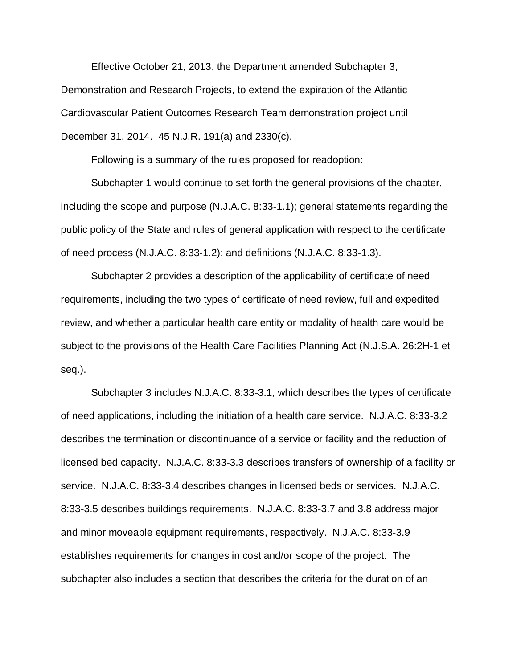Effective October 21, 2013, the Department amended Subchapter 3, Demonstration and Research Projects, to extend the expiration of the Atlantic Cardiovascular Patient Outcomes Research Team demonstration project until December 31, 2014. 45 N.J.R. 191(a) and 2330(c).

Following is a summary of the rules proposed for readoption:

Subchapter 1 would continue to set forth the general provisions of the chapter, including the scope and purpose (N.J.A.C. 8:33-1.1); general statements regarding the public policy of the State and rules of general application with respect to the certificate of need process (N.J.A.C. 8:33-1.2); and definitions (N.J.A.C. 8:33-1.3).

Subchapter 2 provides a description of the applicability of certificate of need requirements, including the two types of certificate of need review, full and expedited review, and whether a particular health care entity or modality of health care would be subject to the provisions of the Health Care Facilities Planning Act (N.J.S.A. 26:2H-1 et seq.).

Subchapter 3 includes N.J.A.C. 8:33-3.1, which describes the types of certificate of need applications, including the initiation of a health care service. N.J.A.C. 8:33-3.2 describes the termination or discontinuance of a service or facility and the reduction of licensed bed capacity. N.J.A.C. 8:33-3.3 describes transfers of ownership of a facility or service. N.J.A.C. 8:33-3.4 describes changes in licensed beds or services. N.J.A.C. 8:33-3.5 describes buildings requirements. N.J.A.C. 8:33-3.7 and 3.8 address major and minor moveable equipment requirements, respectively. N.J.A.C. 8:33-3.9 establishes requirements for changes in cost and/or scope of the project. The subchapter also includes a section that describes the criteria for the duration of an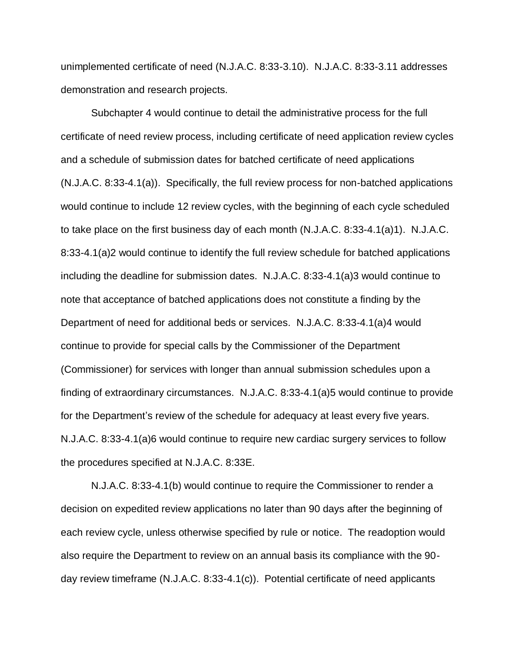unimplemented certificate of need (N.J.A.C. 8:33-3.10). N.J.A.C. 8:33-3.11 addresses demonstration and research projects.

Subchapter 4 would continue to detail the administrative process for the full certificate of need review process, including certificate of need application review cycles and a schedule of submission dates for batched certificate of need applications (N.J.A.C. 8:33-4.1(a)). Specifically, the full review process for non-batched applications would continue to include 12 review cycles, with the beginning of each cycle scheduled to take place on the first business day of each month (N.J.A.C. 8:33-4.1(a)1). N.J.A.C. 8:33-4.1(a)2 would continue to identify the full review schedule for batched applications including the deadline for submission dates. N.J.A.C. 8:33-4.1(a)3 would continue to note that acceptance of batched applications does not constitute a finding by the Department of need for additional beds or services. N.J.A.C. 8:33-4.1(a)4 would continue to provide for special calls by the Commissioner of the Department (Commissioner) for services with longer than annual submission schedules upon a finding of extraordinary circumstances. N.J.A.C. 8:33-4.1(a)5 would continue to provide for the Department's review of the schedule for adequacy at least every five years. N.J.A.C. 8:33-4.1(a)6 would continue to require new cardiac surgery services to follow the procedures specified at N.J.A.C. 8:33E.

N.J.A.C. 8:33-4.1(b) would continue to require the Commissioner to render a decision on expedited review applications no later than 90 days after the beginning of each review cycle, unless otherwise specified by rule or notice. The readoption would also require the Department to review on an annual basis its compliance with the 90 day review timeframe (N.J.A.C. 8:33-4.1(c)). Potential certificate of need applicants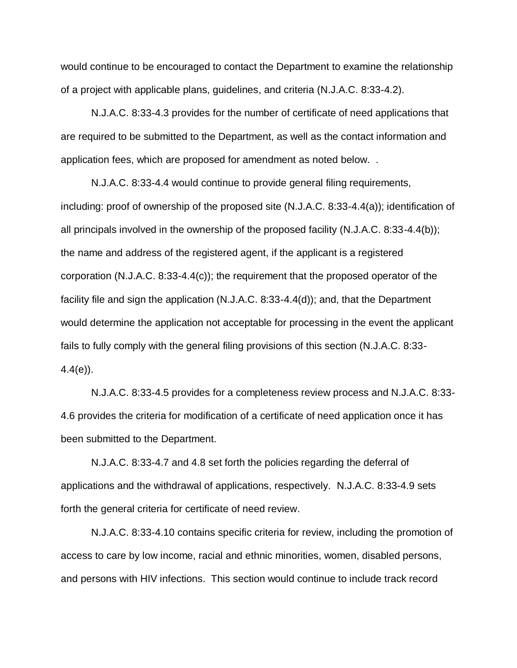would continue to be encouraged to contact the Department to examine the relationship of a project with applicable plans, guidelines, and criteria (N.J.A.C. 8:33-4.2).

N.J.A.C. 8:33-4.3 provides for the number of certificate of need applications that are required to be submitted to the Department, as well as the contact information and application fees, which are proposed for amendment as noted below. .

N.J.A.C. 8:33-4.4 would continue to provide general filing requirements, including: proof of ownership of the proposed site (N.J.A.C. 8:33-4.4(a)); identification of all principals involved in the ownership of the proposed facility (N.J.A.C. 8:33-4.4(b)); the name and address of the registered agent, if the applicant is a registered corporation (N.J.A.C. 8:33-4.4(c)); the requirement that the proposed operator of the facility file and sign the application (N.J.A.C. 8:33-4.4(d)); and, that the Department would determine the application not acceptable for processing in the event the applicant fails to fully comply with the general filing provisions of this section (N.J.A.C. 8:33-  $4.4(e)$ ).

N.J.A.C. 8:33-4.5 provides for a completeness review process and N.J.A.C. 8:33- 4.6 provides the criteria for modification of a certificate of need application once it has been submitted to the Department.

N.J.A.C. 8:33-4.7 and 4.8 set forth the policies regarding the deferral of applications and the withdrawal of applications, respectively. N.J.A.C. 8:33-4.9 sets forth the general criteria for certificate of need review.

N.J.A.C. 8:33-4.10 contains specific criteria for review, including the promotion of access to care by low income, racial and ethnic minorities, women, disabled persons, and persons with HIV infections. This section would continue to include track record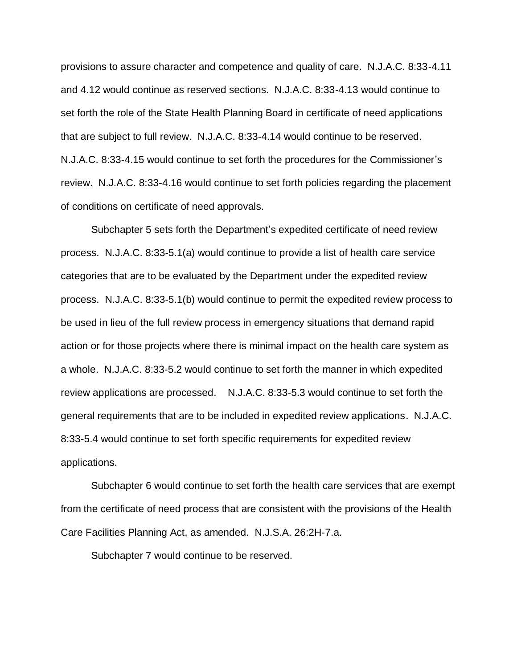provisions to assure character and competence and quality of care. N.J.A.C. 8:33-4.11 and 4.12 would continue as reserved sections. N.J.A.C. 8:33-4.13 would continue to set forth the role of the State Health Planning Board in certificate of need applications that are subject to full review. N.J.A.C. 8:33-4.14 would continue to be reserved. N.J.A.C. 8:33-4.15 would continue to set forth the procedures for the Commissioner's review. N.J.A.C. 8:33-4.16 would continue to set forth policies regarding the placement of conditions on certificate of need approvals.

Subchapter 5 sets forth the Department's expedited certificate of need review process. N.J.A.C. 8:33-5.1(a) would continue to provide a list of health care service categories that are to be evaluated by the Department under the expedited review process. N.J.A.C. 8:33-5.1(b) would continue to permit the expedited review process to be used in lieu of the full review process in emergency situations that demand rapid action or for those projects where there is minimal impact on the health care system as a whole. N.J.A.C. 8:33-5.2 would continue to set forth the manner in which expedited review applications are processed. N.J.A.C. 8:33-5.3 would continue to set forth the general requirements that are to be included in expedited review applications. N.J.A.C. 8:33-5.4 would continue to set forth specific requirements for expedited review applications.

Subchapter 6 would continue to set forth the health care services that are exempt from the certificate of need process that are consistent with the provisions of the Health Care Facilities Planning Act, as amended. N.J.S.A. 26:2H-7.a.

Subchapter 7 would continue to be reserved.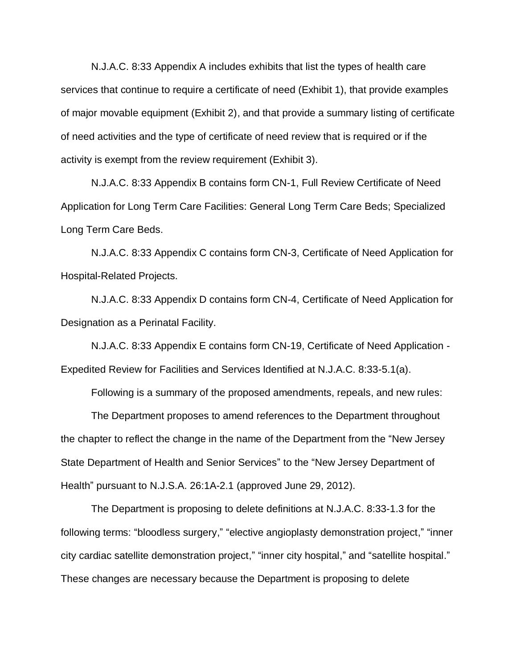N.J.A.C. 8:33 Appendix A includes exhibits that list the types of health care services that continue to require a certificate of need (Exhibit 1), that provide examples of major movable equipment (Exhibit 2), and that provide a summary listing of certificate of need activities and the type of certificate of need review that is required or if the activity is exempt from the review requirement (Exhibit 3).

N.J.A.C. 8:33 Appendix B contains form CN-1, Full Review Certificate of Need Application for Long Term Care Facilities: General Long Term Care Beds; Specialized Long Term Care Beds.

N.J.A.C. 8:33 Appendix C contains form CN-3, Certificate of Need Application for Hospital-Related Projects.

N.J.A.C. 8:33 Appendix D contains form CN-4, Certificate of Need Application for Designation as a Perinatal Facility.

N.J.A.C. 8:33 Appendix E contains form CN-19, Certificate of Need Application - Expedited Review for Facilities and Services Identified at N.J.A.C. 8:33-5.1(a).

Following is a summary of the proposed amendments, repeals, and new rules:

The Department proposes to amend references to the Department throughout the chapter to reflect the change in the name of the Department from the "New Jersey State Department of Health and Senior Services" to the "New Jersey Department of Health" pursuant to N.J.S.A. 26:1A-2.1 (approved June 29, 2012).

The Department is proposing to delete definitions at N.J.A.C. 8:33-1.3 for the following terms: "bloodless surgery," "elective angioplasty demonstration project," "inner city cardiac satellite demonstration project," "inner city hospital," and "satellite hospital." These changes are necessary because the Department is proposing to delete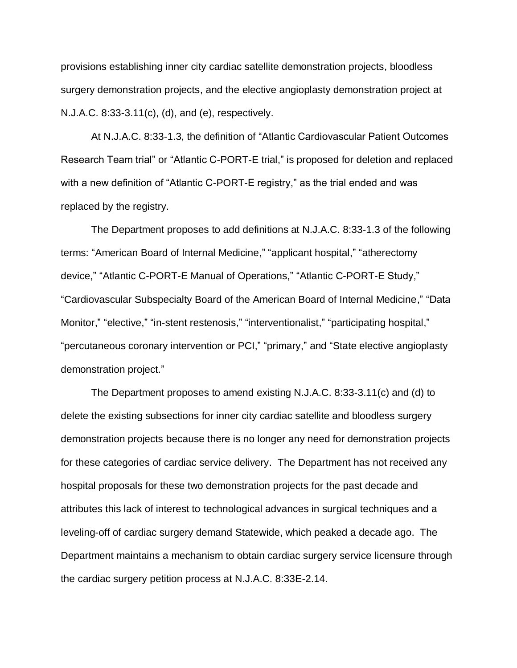provisions establishing inner city cardiac satellite demonstration projects, bloodless surgery demonstration projects, and the elective angioplasty demonstration project at N.J.A.C. 8:33-3.11(c), (d), and (e), respectively.

At N.J.A.C. 8:33-1.3, the definition of "Atlantic Cardiovascular Patient Outcomes Research Team trial" or "Atlantic C-PORT-E trial," is proposed for deletion and replaced with a new definition of "Atlantic C-PORT-E registry," as the trial ended and was replaced by the registry.

The Department proposes to add definitions at N.J.A.C. 8:33-1.3 of the following terms: "American Board of Internal Medicine," "applicant hospital," "atherectomy device," "Atlantic C-PORT-E Manual of Operations," "Atlantic C-PORT-E Study," "Cardiovascular Subspecialty Board of the American Board of Internal Medicine," "Data Monitor," "elective," "in-stent restenosis," "interventionalist," "participating hospital," "percutaneous coronary intervention or PCI," "primary," and "State elective angioplasty demonstration project."

The Department proposes to amend existing N.J.A.C. 8:33-3.11(c) and (d) to delete the existing subsections for inner city cardiac satellite and bloodless surgery demonstration projects because there is no longer any need for demonstration projects for these categories of cardiac service delivery. The Department has not received any hospital proposals for these two demonstration projects for the past decade and attributes this lack of interest to technological advances in surgical techniques and a leveling-off of cardiac surgery demand Statewide, which peaked a decade ago. The Department maintains a mechanism to obtain cardiac surgery service licensure through the cardiac surgery petition process at N.J.A.C. 8:33E-2.14.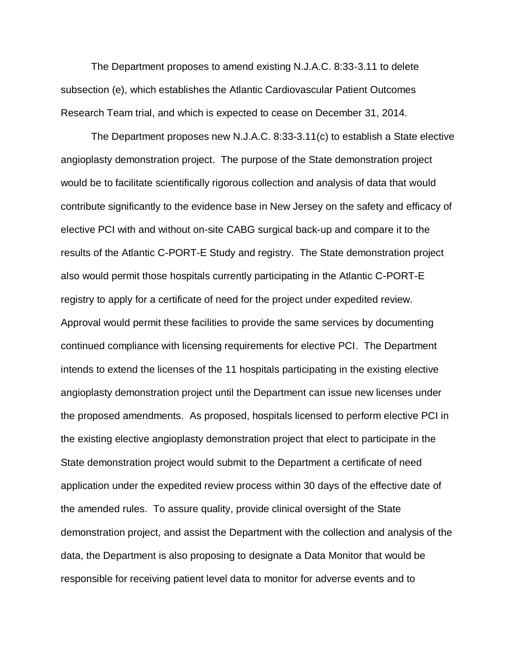The Department proposes to amend existing N.J.A.C. 8:33-3.11 to delete subsection (e), which establishes the Atlantic Cardiovascular Patient Outcomes Research Team trial, and which is expected to cease on December 31, 2014.

The Department proposes new N.J.A.C. 8:33-3.11(c) to establish a State elective angioplasty demonstration project. The purpose of the State demonstration project would be to facilitate scientifically rigorous collection and analysis of data that would contribute significantly to the evidence base in New Jersey on the safety and efficacy of elective PCI with and without on-site CABG surgical back-up and compare it to the results of the Atlantic C-PORT-E Study and registry. The State demonstration project also would permit those hospitals currently participating in the Atlantic C-PORT-E registry to apply for a certificate of need for the project under expedited review. Approval would permit these facilities to provide the same services by documenting continued compliance with licensing requirements for elective PCI. The Department intends to extend the licenses of the 11 hospitals participating in the existing elective angioplasty demonstration project until the Department can issue new licenses under the proposed amendments. As proposed, hospitals licensed to perform elective PCI in the existing elective angioplasty demonstration project that elect to participate in the State demonstration project would submit to the Department a certificate of need application under the expedited review process within 30 days of the effective date of the amended rules. To assure quality, provide clinical oversight of the State demonstration project, and assist the Department with the collection and analysis of the data, the Department is also proposing to designate a Data Monitor that would be responsible for receiving patient level data to monitor for adverse events and to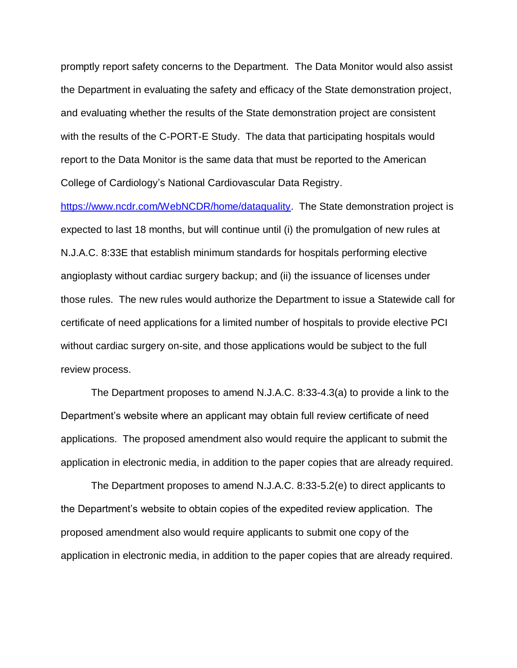promptly report safety concerns to the Department. The Data Monitor would also assist the Department in evaluating the safety and efficacy of the State demonstration project, and evaluating whether the results of the State demonstration project are consistent with the results of the C-PORT-E Study. The data that participating hospitals would report to the Data Monitor is the same data that must be reported to the American College of Cardiology's National Cardiovascular Data Registry.

[https://www.ncdr.com/WebNCDR/home/dataquality.](https://www.ncdr.com/WebNCDR/home/dataquality) The State demonstration project is expected to last 18 months, but will continue until (i) the promulgation of new rules at N.J.A.C. 8:33E that establish minimum standards for hospitals performing elective angioplasty without cardiac surgery backup; and (ii) the issuance of licenses under those rules. The new rules would authorize the Department to issue a Statewide call for certificate of need applications for a limited number of hospitals to provide elective PCI without cardiac surgery on-site, and those applications would be subject to the full review process.

The Department proposes to amend N.J.A.C. 8:33-4.3(a) to provide a link to the Department's website where an applicant may obtain full review certificate of need applications. The proposed amendment also would require the applicant to submit the application in electronic media, in addition to the paper copies that are already required.

The Department proposes to amend N.J.A.C. 8:33-5.2(e) to direct applicants to the Department's website to obtain copies of the expedited review application. The proposed amendment also would require applicants to submit one copy of the application in electronic media, in addition to the paper copies that are already required.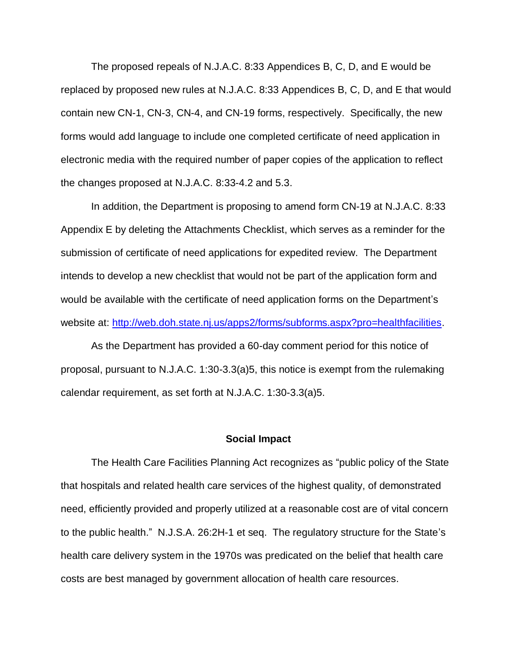The proposed repeals of N.J.A.C. 8:33 Appendices B, C, D, and E would be replaced by proposed new rules at N.J.A.C. 8:33 Appendices B, C, D, and E that would contain new CN-1, CN-3, CN-4, and CN-19 forms, respectively. Specifically, the new forms would add language to include one completed certificate of need application in electronic media with the required number of paper copies of the application to reflect the changes proposed at N.J.A.C. 8:33-4.2 and 5.3.

In addition, the Department is proposing to amend form CN-19 at N.J.A.C. 8:33 Appendix E by deleting the Attachments Checklist, which serves as a reminder for the submission of certificate of need applications for expedited review. The Department intends to develop a new checklist that would not be part of the application form and would be available with the certificate of need application forms on the Department's website at: [http://web.doh.state.nj.us/apps2/forms/subforms.aspx?pro=healthfacilities.](http://web.doh.state.nj.us/apps2/forms/subforms.aspx?pro=healthfacilities)

As the Department has provided a 60-day comment period for this notice of proposal, pursuant to N.J.A.C. 1:30-3.3(a)5, this notice is exempt from the rulemaking calendar requirement, as set forth at N.J.A.C. 1:30-3.3(a)5.

#### **Social Impact**

The Health Care Facilities Planning Act recognizes as "public policy of the State that hospitals and related health care services of the highest quality, of demonstrated need, efficiently provided and properly utilized at a reasonable cost are of vital concern to the public health." N.J.S.A. 26:2H-1 et seq. The regulatory structure for the State's health care delivery system in the 1970s was predicated on the belief that health care costs are best managed by government allocation of health care resources.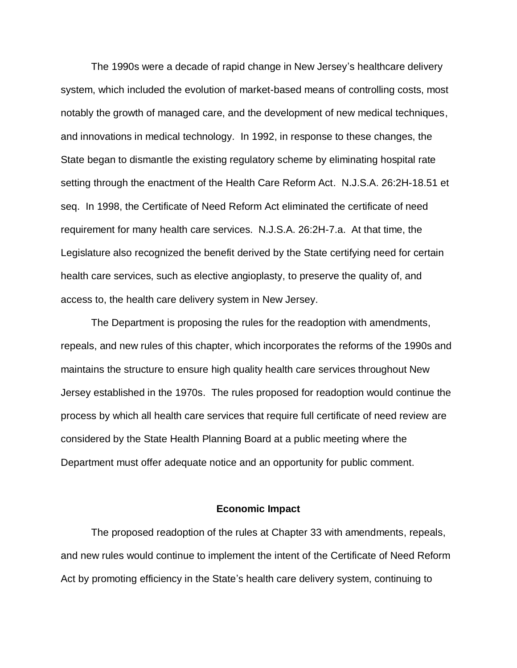The 1990s were a decade of rapid change in New Jersey's healthcare delivery system, which included the evolution of market-based means of controlling costs, most notably the growth of managed care, and the development of new medical techniques, and innovations in medical technology. In 1992, in response to these changes, the State began to dismantle the existing regulatory scheme by eliminating hospital rate setting through the enactment of the Health Care Reform Act. N.J.S.A. 26:2H-18.51 et seq. In 1998, the Certificate of Need Reform Act eliminated the certificate of need requirement for many health care services. N.J.S.A. 26:2H-7.a. At that time, the Legislature also recognized the benefit derived by the State certifying need for certain health care services, such as elective angioplasty, to preserve the quality of, and access to, the health care delivery system in New Jersey.

The Department is proposing the rules for the readoption with amendments, repeals, and new rules of this chapter, which incorporates the reforms of the 1990s and maintains the structure to ensure high quality health care services throughout New Jersey established in the 1970s. The rules proposed for readoption would continue the process by which all health care services that require full certificate of need review are considered by the State Health Planning Board at a public meeting where the Department must offer adequate notice and an opportunity for public comment.

#### **Economic Impact**

The proposed readoption of the rules at Chapter 33 with amendments, repeals, and new rules would continue to implement the intent of the Certificate of Need Reform Act by promoting efficiency in the State's health care delivery system, continuing to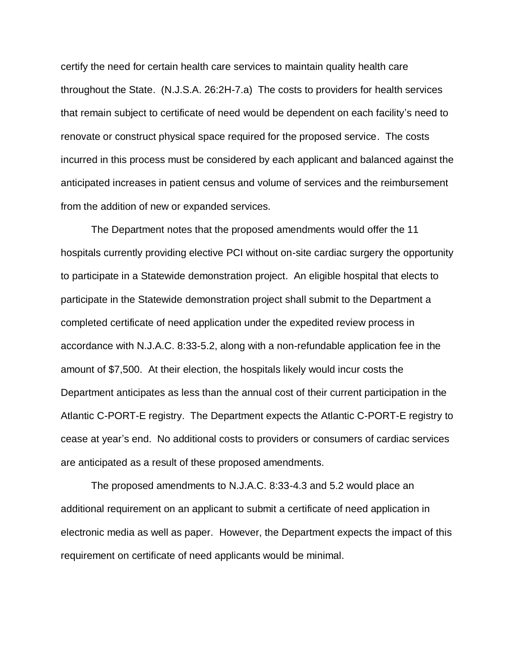certify the need for certain health care services to maintain quality health care throughout the State. (N.J.S.A. 26:2H-7.a) The costs to providers for health services that remain subject to certificate of need would be dependent on each facility's need to renovate or construct physical space required for the proposed service. The costs incurred in this process must be considered by each applicant and balanced against the anticipated increases in patient census and volume of services and the reimbursement from the addition of new or expanded services.

The Department notes that the proposed amendments would offer the 11 hospitals currently providing elective PCI without on-site cardiac surgery the opportunity to participate in a Statewide demonstration project. An eligible hospital that elects to participate in the Statewide demonstration project shall submit to the Department a completed certificate of need application under the expedited review process in accordance with N.J.A.C. 8:33-5.2, along with a non-refundable application fee in the amount of \$7,500. At their election, the hospitals likely would incur costs the Department anticipates as less than the annual cost of their current participation in the Atlantic C-PORT-E registry. The Department expects the Atlantic C-PORT-E registry to cease at year's end. No additional costs to providers or consumers of cardiac services are anticipated as a result of these proposed amendments.

The proposed amendments to N.J.A.C. 8:33-4.3 and 5.2 would place an additional requirement on an applicant to submit a certificate of need application in electronic media as well as paper. However, the Department expects the impact of this requirement on certificate of need applicants would be minimal.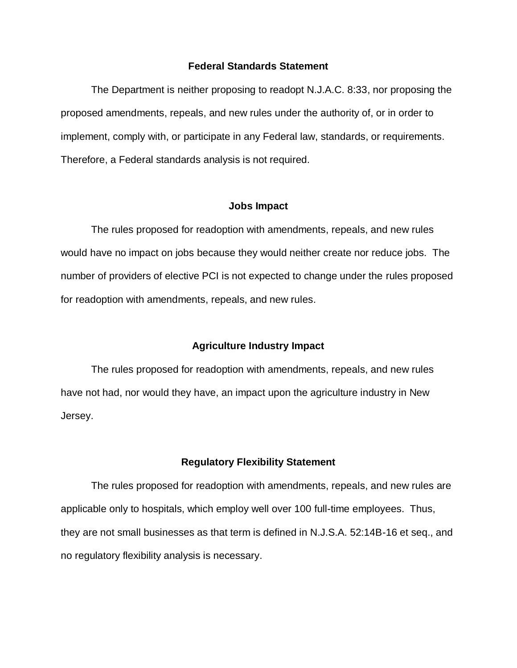### **Federal Standards Statement**

The Department is neither proposing to readopt N.J.A.C. 8:33, nor proposing the proposed amendments, repeals, and new rules under the authority of, or in order to implement, comply with, or participate in any Federal law, standards, or requirements. Therefore, a Federal standards analysis is not required.

#### **Jobs Impact**

The rules proposed for readoption with amendments, repeals, and new rules would have no impact on jobs because they would neither create nor reduce jobs. The number of providers of elective PCI is not expected to change under the rules proposed for readoption with amendments, repeals, and new rules.

### **Agriculture Industry Impact**

The rules proposed for readoption with amendments, repeals, and new rules have not had, nor would they have, an impact upon the agriculture industry in New Jersey.

#### **Regulatory Flexibility Statement**

The rules proposed for readoption with amendments, repeals, and new rules are applicable only to hospitals, which employ well over 100 full-time employees. Thus, they are not small businesses as that term is defined in N.J.S.A. 52:14B-16 et seq., and no regulatory flexibility analysis is necessary.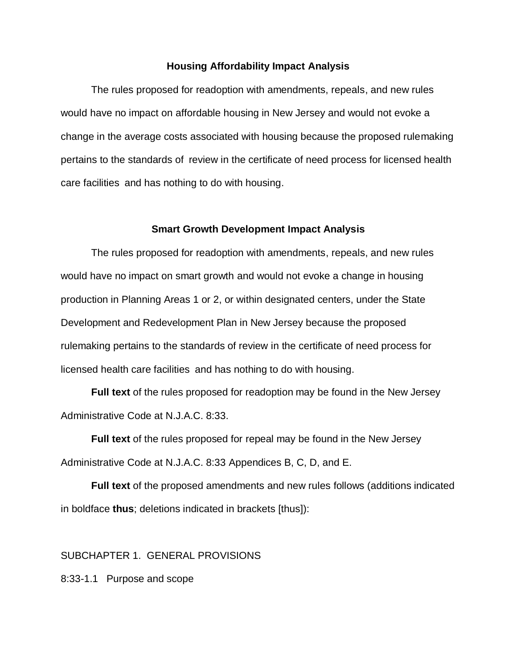### **Housing Affordability Impact Analysis**

The rules proposed for readoption with amendments, repeals, and new rules would have no impact on affordable housing in New Jersey and would not evoke a change in the average costs associated with housing because the proposed rulemaking pertains to the standards of review in the certificate of need process for licensed health care facilities and has nothing to do with housing.

#### **Smart Growth Development Impact Analysis**

The rules proposed for readoption with amendments, repeals, and new rules would have no impact on smart growth and would not evoke a change in housing production in Planning Areas 1 or 2, or within designated centers, under the State Development and Redevelopment Plan in New Jersey because the proposed rulemaking pertains to the standards of review in the certificate of need process for licensed health care facilities and has nothing to do with housing.

**Full text** of the rules proposed for readoption may be found in the New Jersey Administrative Code at N.J.A.C. 8:33.

**Full text** of the rules proposed for repeal may be found in the New Jersey Administrative Code at N.J.A.C. 8:33 Appendices B, C, D, and E.

**Full text** of the proposed amendments and new rules follows (additions indicated in boldface **thus**; deletions indicated in brackets [thus]):

### SUBCHAPTER 1. GENERAL PROVISIONS

8:33-1.1 Purpose and scope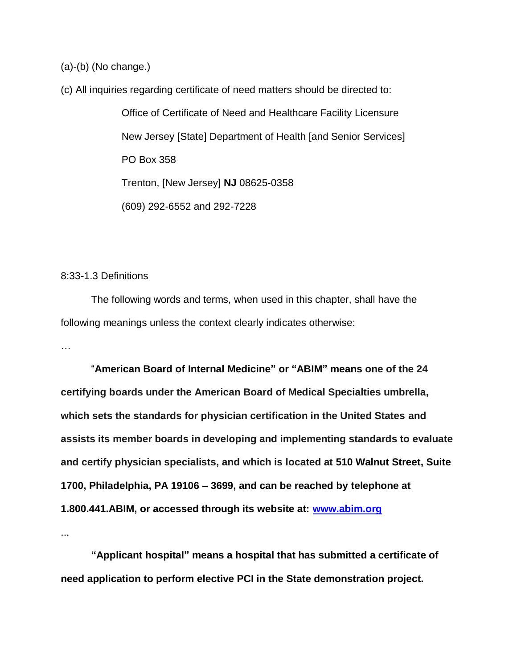(a)-(b) (No change.)

(c) All inquiries regarding certificate of need matters should be directed to:

Office of Certificate of Need and Healthcare Facility Licensure New Jersey [State] Department of Health [and Senior Services] PO Box 358 Trenton, [New Jersey] **NJ** 08625-0358 (609) 292-6552 and 292-7228

## 8:33-1.3 Definitions

The following words and terms, when used in this chapter, shall have the following meanings unless the context clearly indicates otherwise:

…

"**American Board of Internal Medicine" or "ABIM" means one of the 24 certifying boards under the American Board of Medical Specialties umbrella, which sets the standards for physician certification in the United States and assists its member boards in developing and implementing standards to evaluate and certify physician specialists, and which is located at 510 Walnut Street, Suite 1700, Philadelphia, PA 19106 – 3699, and can be reached by telephone at 1.800.441.ABIM, or accessed through its website at: [www.abim.org](http://www.abim.org/)**

...

**"Applicant hospital" means a hospital that has submitted a certificate of need application to perform elective PCI in the State demonstration project.**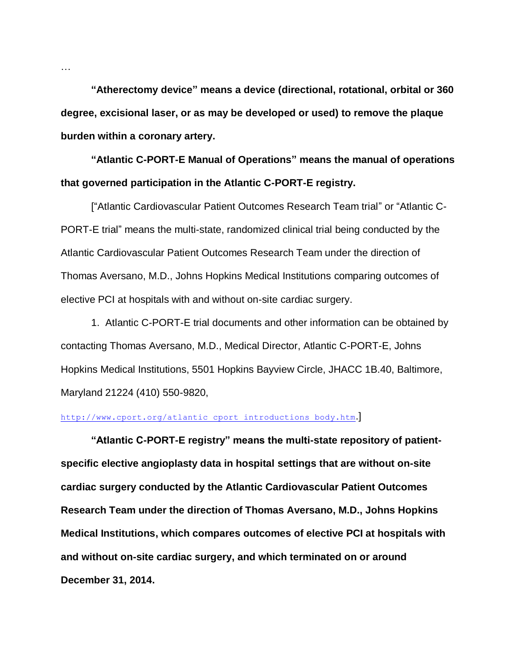**"Atherectomy device" means a device (directional, rotational, orbital or 360 degree, excisional laser, or as may be developed or used) to remove the plaque burden within a coronary artery.**

**"Atlantic C-PORT-E Manual of Operations" means the manual of operations that governed participation in the Atlantic C-PORT-E registry.**

["Atlantic Cardiovascular Patient Outcomes Research Team trial" or "Atlantic C-PORT-E trial" means the multi-state, randomized clinical trial being conducted by the Atlantic Cardiovascular Patient Outcomes Research Team under the direction of Thomas Aversano, M.D., Johns Hopkins Medical Institutions comparing outcomes of elective PCI at hospitals with and without on-site cardiac surgery.

1. Atlantic C-PORT-E trial documents and other information can be obtained by contacting Thomas Aversano, M.D., Medical Director, Atlantic C-PORT-E, Johns Hopkins Medical Institutions, 5501 Hopkins Bayview Circle, JHACC 1B.40, Baltimore, Maryland 21224 (410) 550-9820,

### http://www.cport.org/atlantic cport introductions body.htm.

**"Atlantic C-PORT-E registry" means the multi-state repository of patientspecific elective angioplasty data in hospital settings that are without on-site cardiac surgery conducted by the Atlantic Cardiovascular Patient Outcomes Research Team under the direction of Thomas Aversano, M.D., Johns Hopkins Medical Institutions, which compares outcomes of elective PCI at hospitals with and without on-site cardiac surgery, and which terminated on or around December 31, 2014.**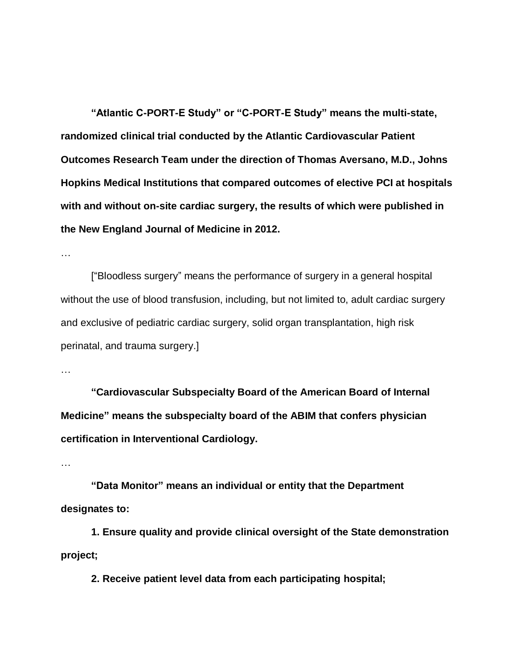**"Atlantic C-PORT-E Study" or "C-PORT-E Study" means the multi-state, randomized clinical trial conducted by the Atlantic Cardiovascular Patient Outcomes Research Team under the direction of Thomas Aversano, M.D., Johns Hopkins Medical Institutions that compared outcomes of elective PCI at hospitals with and without on-site cardiac surgery, the results of which were published in the New England Journal of Medicine in 2012.**

…

["Bloodless surgery" means the performance of surgery in a general hospital without the use of blood transfusion, including, but not limited to, adult cardiac surgery and exclusive of pediatric cardiac surgery, solid organ transplantation, high risk perinatal, and trauma surgery.]

…

**"Cardiovascular Subspecialty Board of the American Board of Internal Medicine" means the subspecialty board of the ABIM that confers physician certification in Interventional Cardiology.**

…

**"Data Monitor" means an individual or entity that the Department designates to:**

**1. Ensure quality and provide clinical oversight of the State demonstration project;**

**2. Receive patient level data from each participating hospital;**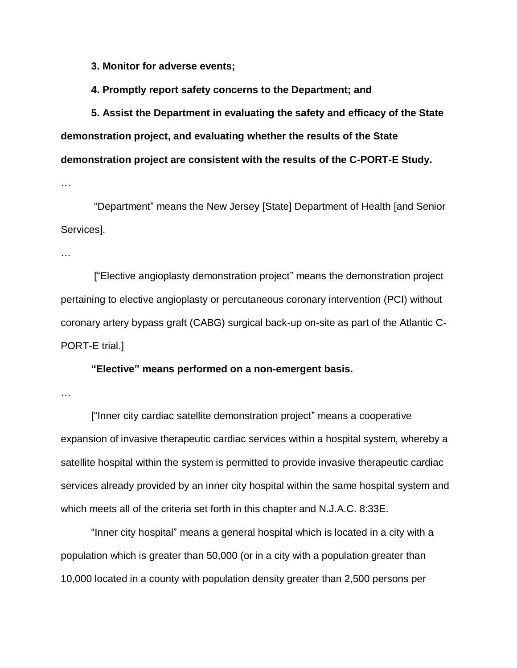**3. Monitor for adverse events;**

**4. Promptly report safety concerns to the Department; and**

**5. Assist the Department in evaluating the safety and efficacy of the State demonstration project, and evaluating whether the results of the State demonstration project are consistent with the results of the C-PORT-E Study.**

…

"Department" means the New Jersey [State] Department of Health [and Senior Services].

…

["Elective angioplasty demonstration project" means the demonstration project pertaining to elective angioplasty or percutaneous coronary intervention (PCI) without coronary artery bypass graft (CABG) surgical back-up on-site as part of the Atlantic C-PORT-E trial.]

### **"Elective" means performed on a non-emergent basis.**

…

["Inner city cardiac satellite demonstration project" means a cooperative expansion of invasive therapeutic cardiac services within a hospital system, whereby a satellite hospital within the system is permitted to provide invasive therapeutic cardiac services already provided by an inner city hospital within the same hospital system and which meets all of the criteria set forth in this chapter and N.J.A.C. 8:33E.

"Inner city hospital" means a general hospital which is located in a city with a population which is greater than 50,000 (or in a city with a population greater than 10,000 located in a county with population density greater than 2,500 persons per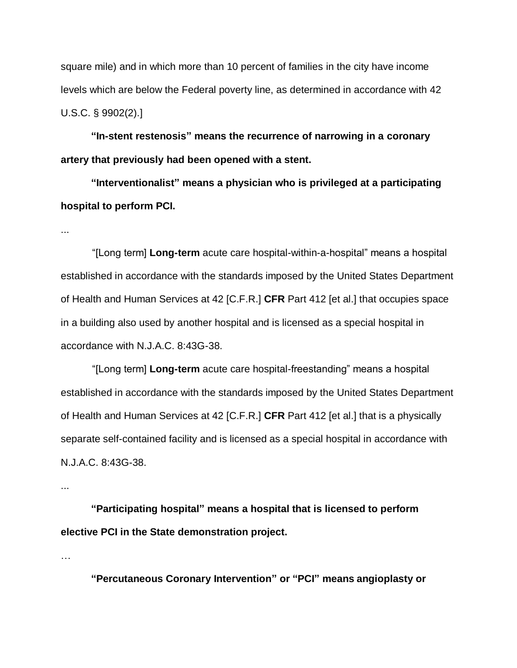square mile) and in which more than 10 percent of families in the city have income levels which are below the Federal poverty line, as determined in accordance with 42 U.S.C. § 9902(2).]

**"In-stent restenosis" means the recurrence of narrowing in a coronary artery that previously had been opened with a stent.**

**"Interventionalist" means a physician who is privileged at a participating hospital to perform PCI.**

...

"[Long term] **Long-term** acute care hospital-within-a-hospital" means a hospital established in accordance with the standards imposed by the United States Department of Health and Human Services at 42 [C.F.R.] **CFR** Part 412 [et al.] that occupies space in a building also used by another hospital and is licensed as a special hospital in accordance with N.J.A.C. 8:43G-38.

"[Long term] **Long-term** acute care hospital-freestanding" means a hospital established in accordance with the standards imposed by the United States Department of Health and Human Services at 42 [C.F.R.] **CFR** Part 412 [et al.] that is a physically separate self-contained facility and is licensed as a special hospital in accordance with N.J.A.C. 8:43G-38.

...

**"Participating hospital" means a hospital that is licensed to perform elective PCI in the State demonstration project.**

…

**"Percutaneous Coronary Intervention" or "PCI" means angioplasty or**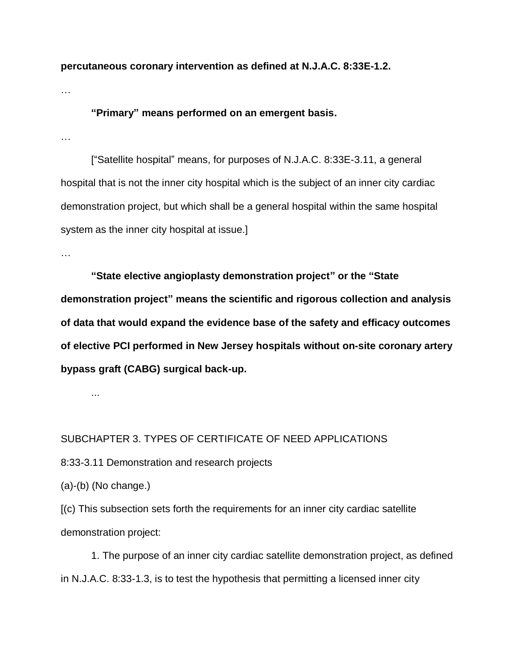**percutaneous coronary intervention as defined at N.J.A.C. 8:33E-1.2.**

…

## **"Primary" means performed on an emergent basis.**

…

["Satellite hospital" means, for purposes of N.J.A.C. 8:33E-3.11, a general hospital that is not the inner city hospital which is the subject of an inner city cardiac demonstration project, but which shall be a general hospital within the same hospital system as the inner city hospital at issue.]

…

**"State elective angioplasty demonstration project" or the "State demonstration project" means the scientific and rigorous collection and analysis of data that would expand the evidence base of the safety and efficacy outcomes of elective PCI performed in New Jersey hospitals without on-site coronary artery bypass graft (CABG) surgical back-up.**

...

### SUBCHAPTER 3. TYPES OF CERTIFICATE OF NEED APPLICATIONS

8:33-3.11 Demonstration and research projects

(a)-(b) (No change.)

[(c) This subsection sets forth the requirements for an inner city cardiac satellite demonstration project:

1. The purpose of an inner city cardiac satellite demonstration project, as defined in N.J.A.C. 8:33-1.3, is to test the hypothesis that permitting a licensed inner city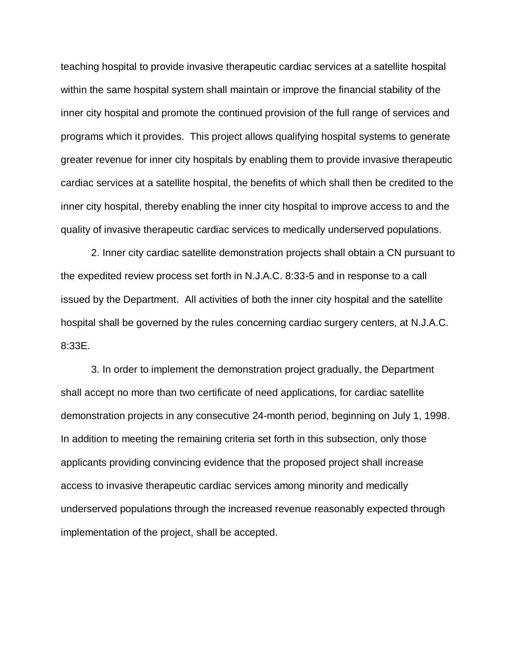teaching hospital to provide invasive therapeutic cardiac services at a satellite hospital within the same hospital system shall maintain or improve the financial stability of the inner city hospital and promote the continued provision of the full range of services and programs which it provides. This project allows qualifying hospital systems to generate greater revenue for inner city hospitals by enabling them to provide invasive therapeutic cardiac services at a satellite hospital, the benefits of which shall then be credited to the inner city hospital, thereby enabling the inner city hospital to improve access to and the quality of invasive therapeutic cardiac services to medically underserved populations.

2. Inner city cardiac satellite demonstration projects shall obtain a CN pursuant to the expedited review process set forth in N.J.A.C. 8:33-5 and in response to a call issued by the Department. All activities of both the inner city hospital and the satellite hospital shall be governed by the rules concerning cardiac surgery centers, at N.J.A.C. 8:33E.

3. In order to implement the demonstration project gradually, the Department shall accept no more than two certificate of need applications, for cardiac satellite demonstration projects in any consecutive 24-month period, beginning on July 1, 1998. In addition to meeting the remaining criteria set forth in this subsection, only those applicants providing convincing evidence that the proposed project shall increase access to invasive therapeutic cardiac services among minority and medically underserved populations through the increased revenue reasonably expected through implementation of the project, shall be accepted.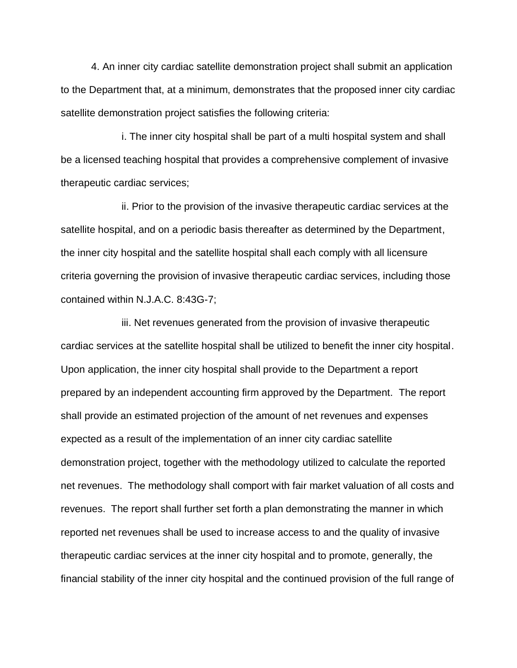4. An inner city cardiac satellite demonstration project shall submit an application to the Department that, at a minimum, demonstrates that the proposed inner city cardiac satellite demonstration project satisfies the following criteria:

i. The inner city hospital shall be part of a multi hospital system and shall be a licensed teaching hospital that provides a comprehensive complement of invasive therapeutic cardiac services;

ii. Prior to the provision of the invasive therapeutic cardiac services at the satellite hospital, and on a periodic basis thereafter as determined by the Department, the inner city hospital and the satellite hospital shall each comply with all licensure criteria governing the provision of invasive therapeutic cardiac services, including those contained within N.J.A.C. 8:43G-7;

iii. Net revenues generated from the provision of invasive therapeutic cardiac services at the satellite hospital shall be utilized to benefit the inner city hospital. Upon application, the inner city hospital shall provide to the Department a report prepared by an independent accounting firm approved by the Department. The report shall provide an estimated projection of the amount of net revenues and expenses expected as a result of the implementation of an inner city cardiac satellite demonstration project, together with the methodology utilized to calculate the reported net revenues. The methodology shall comport with fair market valuation of all costs and revenues. The report shall further set forth a plan demonstrating the manner in which reported net revenues shall be used to increase access to and the quality of invasive therapeutic cardiac services at the inner city hospital and to promote, generally, the financial stability of the inner city hospital and the continued provision of the full range of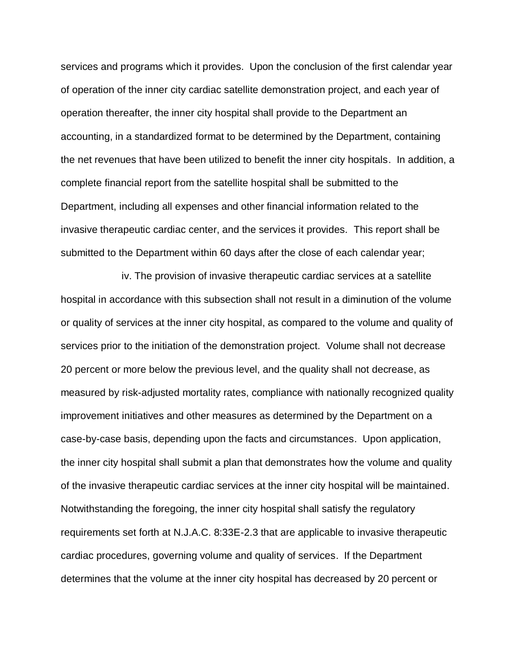services and programs which it provides. Upon the conclusion of the first calendar year of operation of the inner city cardiac satellite demonstration project, and each year of operation thereafter, the inner city hospital shall provide to the Department an accounting, in a standardized format to be determined by the Department, containing the net revenues that have been utilized to benefit the inner city hospitals. In addition, a complete financial report from the satellite hospital shall be submitted to the Department, including all expenses and other financial information related to the invasive therapeutic cardiac center, and the services it provides. This report shall be submitted to the Department within 60 days after the close of each calendar year;

iv. The provision of invasive therapeutic cardiac services at a satellite hospital in accordance with this subsection shall not result in a diminution of the volume or quality of services at the inner city hospital, as compared to the volume and quality of services prior to the initiation of the demonstration project. Volume shall not decrease 20 percent or more below the previous level, and the quality shall not decrease, as measured by risk-adjusted mortality rates, compliance with nationally recognized quality improvement initiatives and other measures as determined by the Department on a case-by-case basis, depending upon the facts and circumstances. Upon application, the inner city hospital shall submit a plan that demonstrates how the volume and quality of the invasive therapeutic cardiac services at the inner city hospital will be maintained. Notwithstanding the foregoing, the inner city hospital shall satisfy the regulatory requirements set forth at N.J.A.C. 8:33E-2.3 that are applicable to invasive therapeutic cardiac procedures, governing volume and quality of services. If the Department determines that the volume at the inner city hospital has decreased by 20 percent or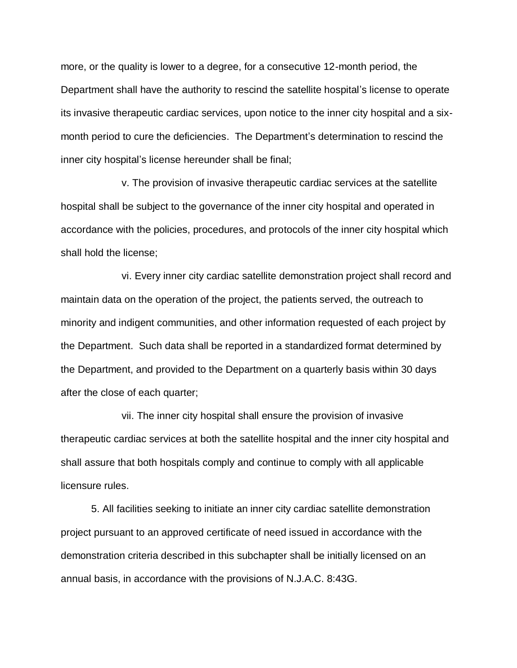more, or the quality is lower to a degree, for a consecutive 12-month period, the Department shall have the authority to rescind the satellite hospital's license to operate its invasive therapeutic cardiac services, upon notice to the inner city hospital and a sixmonth period to cure the deficiencies. The Department's determination to rescind the inner city hospital's license hereunder shall be final;

v. The provision of invasive therapeutic cardiac services at the satellite hospital shall be subject to the governance of the inner city hospital and operated in accordance with the policies, procedures, and protocols of the inner city hospital which shall hold the license;

vi. Every inner city cardiac satellite demonstration project shall record and maintain data on the operation of the project, the patients served, the outreach to minority and indigent communities, and other information requested of each project by the Department. Such data shall be reported in a standardized format determined by the Department, and provided to the Department on a quarterly basis within 30 days after the close of each quarter;

vii. The inner city hospital shall ensure the provision of invasive therapeutic cardiac services at both the satellite hospital and the inner city hospital and shall assure that both hospitals comply and continue to comply with all applicable licensure rules.

5. All facilities seeking to initiate an inner city cardiac satellite demonstration project pursuant to an approved certificate of need issued in accordance with the demonstration criteria described in this subchapter shall be initially licensed on an annual basis, in accordance with the provisions of N.J.A.C. 8:43G.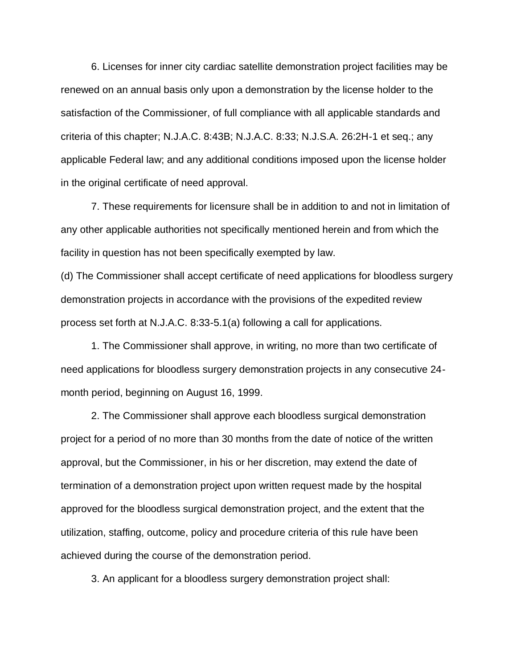6. Licenses for inner city cardiac satellite demonstration project facilities may be renewed on an annual basis only upon a demonstration by the license holder to the satisfaction of the Commissioner, of full compliance with all applicable standards and criteria of this chapter; N.J.A.C. 8:43B; N.J.A.C. 8:33; N.J.S.A. 26:2H-1 et seq.; any applicable Federal law; and any additional conditions imposed upon the license holder in the original certificate of need approval.

7. These requirements for licensure shall be in addition to and not in limitation of any other applicable authorities not specifically mentioned herein and from which the facility in question has not been specifically exempted by law.

(d) The Commissioner shall accept certificate of need applications for bloodless surgery demonstration projects in accordance with the provisions of the expedited review process set forth at N.J.A.C. 8:33-5.1(a) following a call for applications.

1. The Commissioner shall approve, in writing, no more than two certificate of need applications for bloodless surgery demonstration projects in any consecutive 24 month period, beginning on August 16, 1999.

2. The Commissioner shall approve each bloodless surgical demonstration project for a period of no more than 30 months from the date of notice of the written approval, but the Commissioner, in his or her discretion, may extend the date of termination of a demonstration project upon written request made by the hospital approved for the bloodless surgical demonstration project, and the extent that the utilization, staffing, outcome, policy and procedure criteria of this rule have been achieved during the course of the demonstration period.

3. An applicant for a bloodless surgery demonstration project shall: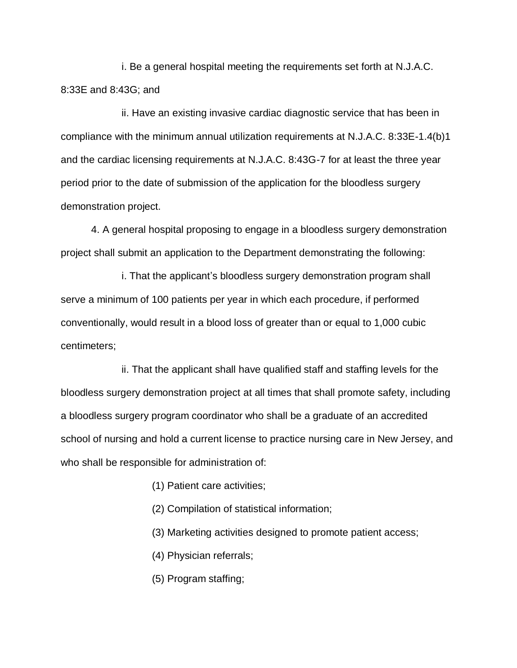i. Be a general hospital meeting the requirements set forth at N.J.A.C. 8:33E and 8:43G; and

ii. Have an existing invasive cardiac diagnostic service that has been in compliance with the minimum annual utilization requirements at N.J.A.C. 8:33E-1.4(b)1 and the cardiac licensing requirements at N.J.A.C. 8:43G-7 for at least the three year period prior to the date of submission of the application for the bloodless surgery demonstration project.

4. A general hospital proposing to engage in a bloodless surgery demonstration project shall submit an application to the Department demonstrating the following:

i. That the applicant's bloodless surgery demonstration program shall serve a minimum of 100 patients per year in which each procedure, if performed conventionally, would result in a blood loss of greater than or equal to 1,000 cubic centimeters;

ii. That the applicant shall have qualified staff and staffing levels for the bloodless surgery demonstration project at all times that shall promote safety, including a bloodless surgery program coordinator who shall be a graduate of an accredited school of nursing and hold a current license to practice nursing care in New Jersey, and who shall be responsible for administration of:

- (1) Patient care activities;
- (2) Compilation of statistical information;
- (3) Marketing activities designed to promote patient access;
- (4) Physician referrals;
- (5) Program staffing;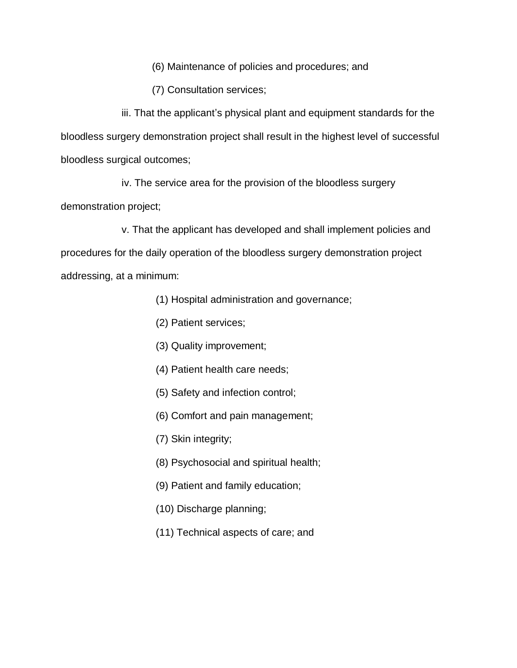(6) Maintenance of policies and procedures; and

(7) Consultation services;

iii. That the applicant's physical plant and equipment standards for the bloodless surgery demonstration project shall result in the highest level of successful bloodless surgical outcomes;

iv. The service area for the provision of the bloodless surgery demonstration project;

v. That the applicant has developed and shall implement policies and procedures for the daily operation of the bloodless surgery demonstration project addressing, at a minimum:

- (1) Hospital administration and governance;
- (2) Patient services;
- (3) Quality improvement;
- (4) Patient health care needs;
- (5) Safety and infection control;
- (6) Comfort and pain management;
- (7) Skin integrity;
- (8) Psychosocial and spiritual health;
- (9) Patient and family education;
- (10) Discharge planning;
- (11) Technical aspects of care; and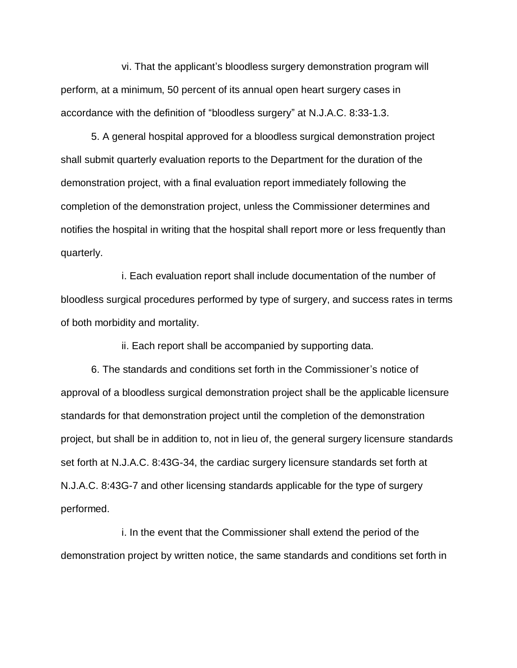vi. That the applicant's bloodless surgery demonstration program will perform, at a minimum, 50 percent of its annual open heart surgery cases in accordance with the definition of "bloodless surgery" at N.J.A.C. 8:33-1.3.

5. A general hospital approved for a bloodless surgical demonstration project shall submit quarterly evaluation reports to the Department for the duration of the demonstration project, with a final evaluation report immediately following the completion of the demonstration project, unless the Commissioner determines and notifies the hospital in writing that the hospital shall report more or less frequently than quarterly.

i. Each evaluation report shall include documentation of the number of bloodless surgical procedures performed by type of surgery, and success rates in terms of both morbidity and mortality.

ii. Each report shall be accompanied by supporting data.

6. The standards and conditions set forth in the Commissioner's notice of approval of a bloodless surgical demonstration project shall be the applicable licensure standards for that demonstration project until the completion of the demonstration project, but shall be in addition to, not in lieu of, the general surgery licensure standards set forth at N.J.A.C. 8:43G-34, the cardiac surgery licensure standards set forth at N.J.A.C. 8:43G-7 and other licensing standards applicable for the type of surgery performed.

i. In the event that the Commissioner shall extend the period of the demonstration project by written notice, the same standards and conditions set forth in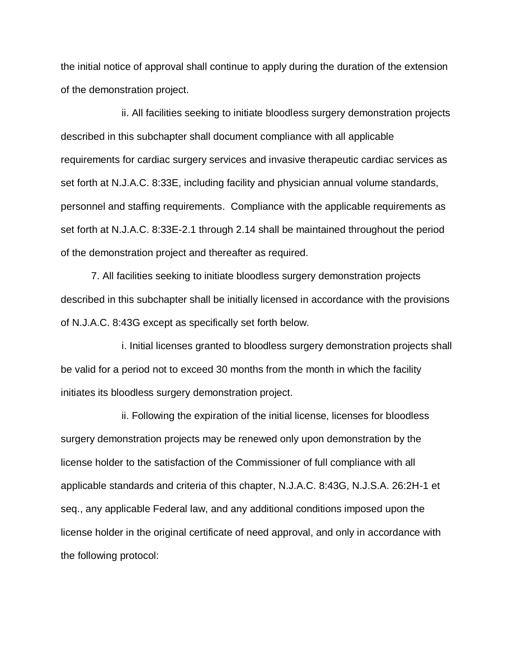the initial notice of approval shall continue to apply during the duration of the extension of the demonstration project.

ii. All facilities seeking to initiate bloodless surgery demonstration projects described in this subchapter shall document compliance with all applicable requirements for cardiac surgery services and invasive therapeutic cardiac services as set forth at N.J.A.C. 8:33E, including facility and physician annual volume standards, personnel and staffing requirements. Compliance with the applicable requirements as set forth at N.J.A.C. 8:33E-2.1 through 2.14 shall be maintained throughout the period of the demonstration project and thereafter as required.

7. All facilities seeking to initiate bloodless surgery demonstration projects described in this subchapter shall be initially licensed in accordance with the provisions of N.J.A.C. 8:43G except as specifically set forth below.

i. Initial licenses granted to bloodless surgery demonstration projects shall be valid for a period not to exceed 30 months from the month in which the facility initiates its bloodless surgery demonstration project.

ii. Following the expiration of the initial license, licenses for bloodless surgery demonstration projects may be renewed only upon demonstration by the license holder to the satisfaction of the Commissioner of full compliance with all applicable standards and criteria of this chapter, N.J.A.C. 8:43G, N.J.S.A. 26:2H-1 et seq., any applicable Federal law, and any additional conditions imposed upon the license holder in the original certificate of need approval, and only in accordance with the following protocol: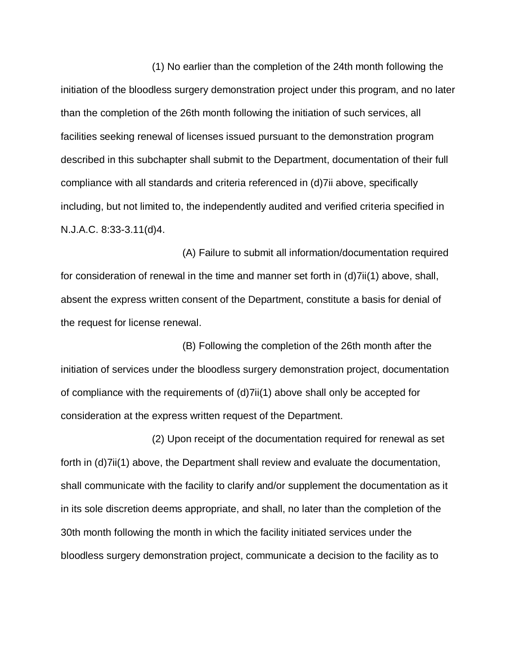(1) No earlier than the completion of the 24th month following the initiation of the bloodless surgery demonstration project under this program, and no later than the completion of the 26th month following the initiation of such services, all facilities seeking renewal of licenses issued pursuant to the demonstration program described in this subchapter shall submit to the Department, documentation of their full compliance with all standards and criteria referenced in (d)7ii above, specifically including, but not limited to, the independently audited and verified criteria specified in N.J.A.C. 8:33-3.11(d)4.

(A) Failure to submit all information/documentation required for consideration of renewal in the time and manner set forth in (d)7ii(1) above, shall, absent the express written consent of the Department, constitute a basis for denial of the request for license renewal.

(B) Following the completion of the 26th month after the initiation of services under the bloodless surgery demonstration project, documentation of compliance with the requirements of (d)7ii(1) above shall only be accepted for consideration at the express written request of the Department.

(2) Upon receipt of the documentation required for renewal as set forth in (d)7ii(1) above, the Department shall review and evaluate the documentation, shall communicate with the facility to clarify and/or supplement the documentation as it in its sole discretion deems appropriate, and shall, no later than the completion of the 30th month following the month in which the facility initiated services under the bloodless surgery demonstration project, communicate a decision to the facility as to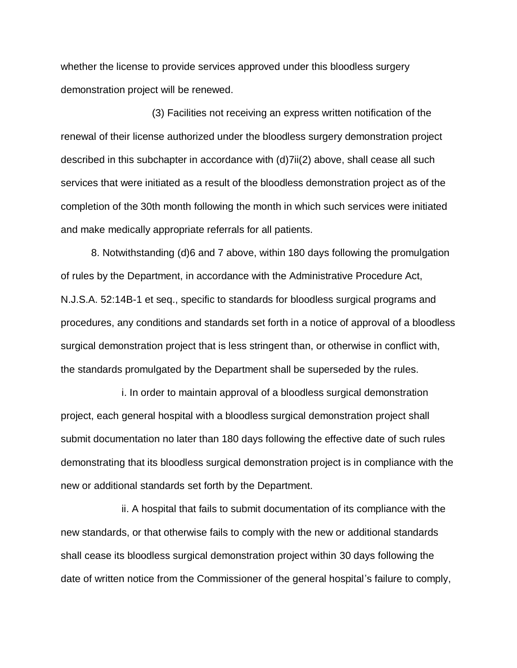whether the license to provide services approved under this bloodless surgery demonstration project will be renewed.

(3) Facilities not receiving an express written notification of the renewal of their license authorized under the bloodless surgery demonstration project described in this subchapter in accordance with (d)7ii(2) above, shall cease all such services that were initiated as a result of the bloodless demonstration project as of the completion of the 30th month following the month in which such services were initiated and make medically appropriate referrals for all patients.

8. Notwithstanding (d)6 and 7 above, within 180 days following the promulgation of rules by the Department, in accordance with the Administrative Procedure Act, N.J.S.A. 52:14B-1 et seq., specific to standards for bloodless surgical programs and procedures, any conditions and standards set forth in a notice of approval of a bloodless surgical demonstration project that is less stringent than, or otherwise in conflict with, the standards promulgated by the Department shall be superseded by the rules.

i. In order to maintain approval of a bloodless surgical demonstration project, each general hospital with a bloodless surgical demonstration project shall submit documentation no later than 180 days following the effective date of such rules demonstrating that its bloodless surgical demonstration project is in compliance with the new or additional standards set forth by the Department.

ii. A hospital that fails to submit documentation of its compliance with the new standards, or that otherwise fails to comply with the new or additional standards shall cease its bloodless surgical demonstration project within 30 days following the date of written notice from the Commissioner of the general hospital's failure to comply,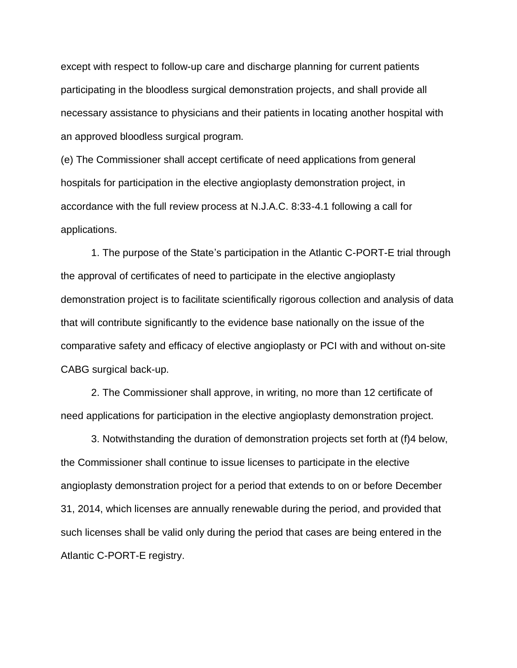except with respect to follow-up care and discharge planning for current patients participating in the bloodless surgical demonstration projects, and shall provide all necessary assistance to physicians and their patients in locating another hospital with an approved bloodless surgical program.

(e) The Commissioner shall accept certificate of need applications from general hospitals for participation in the elective angioplasty demonstration project, in accordance with the full review process at N.J.A.C. 8:33-4.1 following a call for applications.

1. The purpose of the State's participation in the Atlantic C-PORT-E trial through the approval of certificates of need to participate in the elective angioplasty demonstration project is to facilitate scientifically rigorous collection and analysis of data that will contribute significantly to the evidence base nationally on the issue of the comparative safety and efficacy of elective angioplasty or PCI with and without on-site CABG surgical back-up.

2. The Commissioner shall approve, in writing, no more than 12 certificate of need applications for participation in the elective angioplasty demonstration project.

3. Notwithstanding the duration of demonstration projects set forth at (f)4 below, the Commissioner shall continue to issue licenses to participate in the elective angioplasty demonstration project for a period that extends to on or before December 31, 2014, which licenses are annually renewable during the period, and provided that such licenses shall be valid only during the period that cases are being entered in the Atlantic C-PORT-E registry.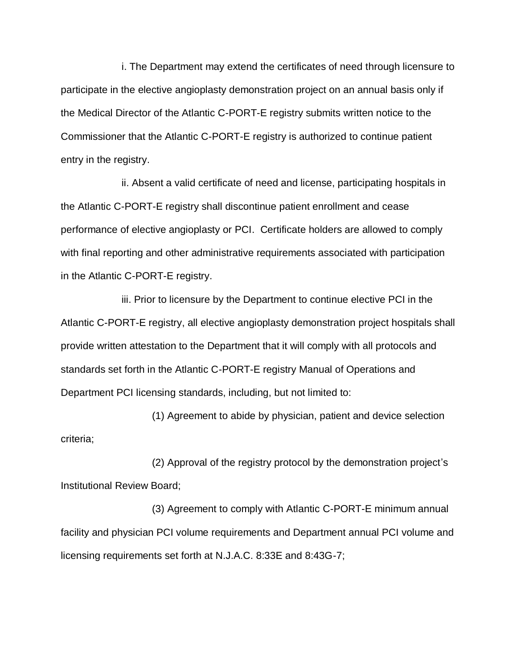i. The Department may extend the certificates of need through licensure to participate in the elective angioplasty demonstration project on an annual basis only if the Medical Director of the Atlantic C-PORT-E registry submits written notice to the Commissioner that the Atlantic C-PORT-E registry is authorized to continue patient entry in the registry.

ii. Absent a valid certificate of need and license, participating hospitals in the Atlantic C-PORT-E registry shall discontinue patient enrollment and cease performance of elective angioplasty or PCI. Certificate holders are allowed to comply with final reporting and other administrative requirements associated with participation in the Atlantic C-PORT-E registry.

iii. Prior to licensure by the Department to continue elective PCI in the Atlantic C-PORT-E registry, all elective angioplasty demonstration project hospitals shall provide written attestation to the Department that it will comply with all protocols and standards set forth in the Atlantic C-PORT-E registry Manual of Operations and Department PCI licensing standards, including, but not limited to:

(1) Agreement to abide by physician, patient and device selection criteria;

(2) Approval of the registry protocol by the demonstration project's Institutional Review Board;

(3) Agreement to comply with Atlantic C-PORT-E minimum annual facility and physician PCI volume requirements and Department annual PCI volume and licensing requirements set forth at N.J.A.C. 8:33E and 8:43G-7;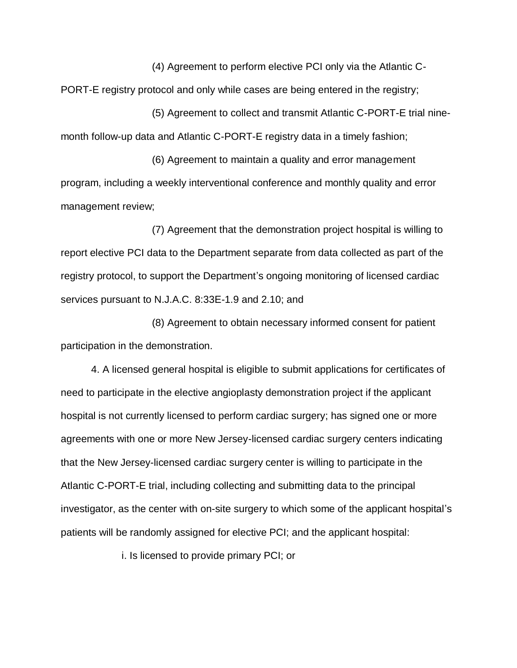(4) Agreement to perform elective PCI only via the Atlantic C-PORT-E registry protocol and only while cases are being entered in the registry;

(5) Agreement to collect and transmit Atlantic C-PORT-E trial ninemonth follow-up data and Atlantic C-PORT-E registry data in a timely fashion;

(6) Agreement to maintain a quality and error management program, including a weekly interventional conference and monthly quality and error management review;

(7) Agreement that the demonstration project hospital is willing to report elective PCI data to the Department separate from data collected as part of the registry protocol, to support the Department's ongoing monitoring of licensed cardiac services pursuant to N.J.A.C. 8:33E-1.9 and 2.10; and

(8) Agreement to obtain necessary informed consent for patient participation in the demonstration.

4. A licensed general hospital is eligible to submit applications for certificates of need to participate in the elective angioplasty demonstration project if the applicant hospital is not currently licensed to perform cardiac surgery; has signed one or more agreements with one or more New Jersey-licensed cardiac surgery centers indicating that the New Jersey-licensed cardiac surgery center is willing to participate in the Atlantic C-PORT-E trial, including collecting and submitting data to the principal investigator, as the center with on-site surgery to which some of the applicant hospital's patients will be randomly assigned for elective PCI; and the applicant hospital:

i. Is licensed to provide primary PCI; or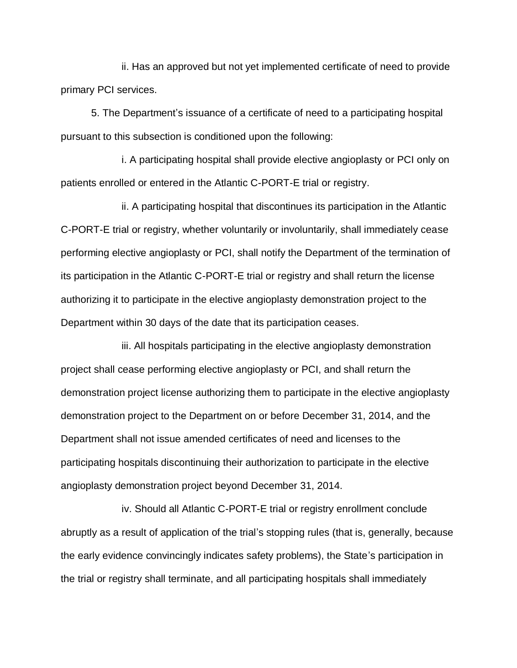ii. Has an approved but not yet implemented certificate of need to provide primary PCI services.

5. The Department's issuance of a certificate of need to a participating hospital pursuant to this subsection is conditioned upon the following:

i. A participating hospital shall provide elective angioplasty or PCI only on patients enrolled or entered in the Atlantic C-PORT-E trial or registry.

ii. A participating hospital that discontinues its participation in the Atlantic C-PORT-E trial or registry, whether voluntarily or involuntarily, shall immediately cease performing elective angioplasty or PCI, shall notify the Department of the termination of its participation in the Atlantic C-PORT-E trial or registry and shall return the license authorizing it to participate in the elective angioplasty demonstration project to the Department within 30 days of the date that its participation ceases.

iii. All hospitals participating in the elective angioplasty demonstration project shall cease performing elective angioplasty or PCI, and shall return the demonstration project license authorizing them to participate in the elective angioplasty demonstration project to the Department on or before December 31, 2014, and the Department shall not issue amended certificates of need and licenses to the participating hospitals discontinuing their authorization to participate in the elective angioplasty demonstration project beyond December 31, 2014.

iv. Should all Atlantic C-PORT-E trial or registry enrollment conclude abruptly as a result of application of the trial's stopping rules (that is, generally, because the early evidence convincingly indicates safety problems), the State's participation in the trial or registry shall terminate, and all participating hospitals shall immediately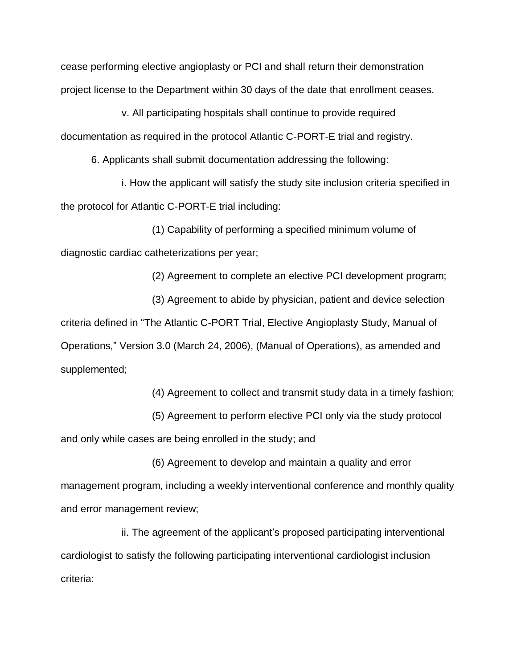cease performing elective angioplasty or PCI and shall return their demonstration project license to the Department within 30 days of the date that enrollment ceases.

v. All participating hospitals shall continue to provide required documentation as required in the protocol Atlantic C-PORT-E trial and registry.

6. Applicants shall submit documentation addressing the following:

i. How the applicant will satisfy the study site inclusion criteria specified in the protocol for Atlantic C-PORT-E trial including:

(1) Capability of performing a specified minimum volume of diagnostic cardiac catheterizations per year;

(2) Agreement to complete an elective PCI development program;

(3) Agreement to abide by physician, patient and device selection criteria defined in "The Atlantic C-PORT Trial, Elective Angioplasty Study, Manual of Operations," Version 3.0 (March 24, 2006), (Manual of Operations), as amended and supplemented;

(4) Agreement to collect and transmit study data in a timely fashion;

(5) Agreement to perform elective PCI only via the study protocol

and only while cases are being enrolled in the study; and

(6) Agreement to develop and maintain a quality and error management program, including a weekly interventional conference and monthly quality and error management review;

ii. The agreement of the applicant's proposed participating interventional cardiologist to satisfy the following participating interventional cardiologist inclusion criteria: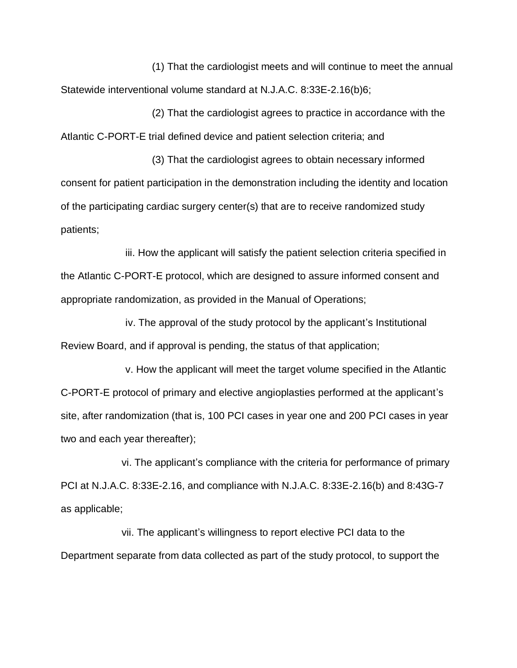(1) That the cardiologist meets and will continue to meet the annual Statewide interventional volume standard at N.J.A.C. 8:33E-2.16(b)6;

(2) That the cardiologist agrees to practice in accordance with the Atlantic C-PORT-E trial defined device and patient selection criteria; and

(3) That the cardiologist agrees to obtain necessary informed consent for patient participation in the demonstration including the identity and location of the participating cardiac surgery center(s) that are to receive randomized study patients;

iii. How the applicant will satisfy the patient selection criteria specified in the Atlantic C-PORT-E protocol, which are designed to assure informed consent and appropriate randomization, as provided in the Manual of Operations;

iv. The approval of the study protocol by the applicant's Institutional Review Board, and if approval is pending, the status of that application;

v. How the applicant will meet the target volume specified in the Atlantic C-PORT-E protocol of primary and elective angioplasties performed at the applicant's site, after randomization (that is, 100 PCI cases in year one and 200 PCI cases in year two and each year thereafter);

vi. The applicant's compliance with the criteria for performance of primary PCI at N.J.A.C. 8:33E-2.16, and compliance with N.J.A.C. 8:33E-2.16(b) and 8:43G-7 as applicable;

vii. The applicant's willingness to report elective PCI data to the Department separate from data collected as part of the study protocol, to support the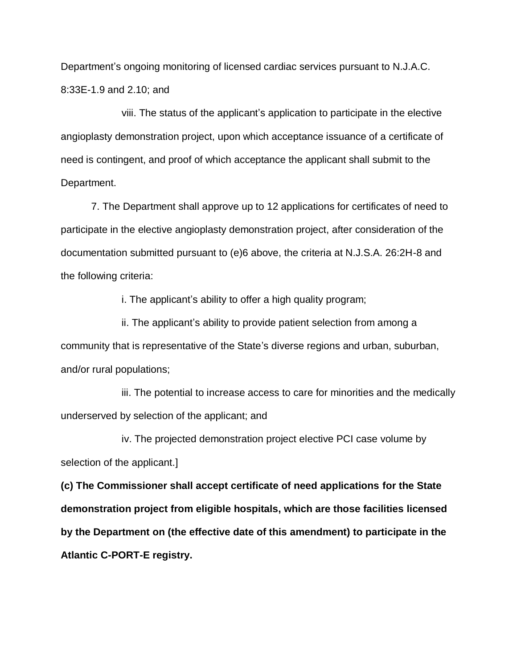Department's ongoing monitoring of licensed cardiac services pursuant to N.J.A.C. 8:33E-1.9 and 2.10; and

viii. The status of the applicant's application to participate in the elective angioplasty demonstration project, upon which acceptance issuance of a certificate of need is contingent, and proof of which acceptance the applicant shall submit to the Department.

7. The Department shall approve up to 12 applications for certificates of need to participate in the elective angioplasty demonstration project, after consideration of the documentation submitted pursuant to (e)6 above, the criteria at N.J.S.A. 26:2H-8 and the following criteria:

i. The applicant's ability to offer a high quality program;

ii. The applicant's ability to provide patient selection from among a community that is representative of the State's diverse regions and urban, suburban, and/or rural populations;

iii. The potential to increase access to care for minorities and the medically underserved by selection of the applicant; and

iv. The projected demonstration project elective PCI case volume by selection of the applicant.]

**(c) The Commissioner shall accept certificate of need applications for the State demonstration project from eligible hospitals, which are those facilities licensed by the Department on (the effective date of this amendment) to participate in the Atlantic C-PORT-E registry.**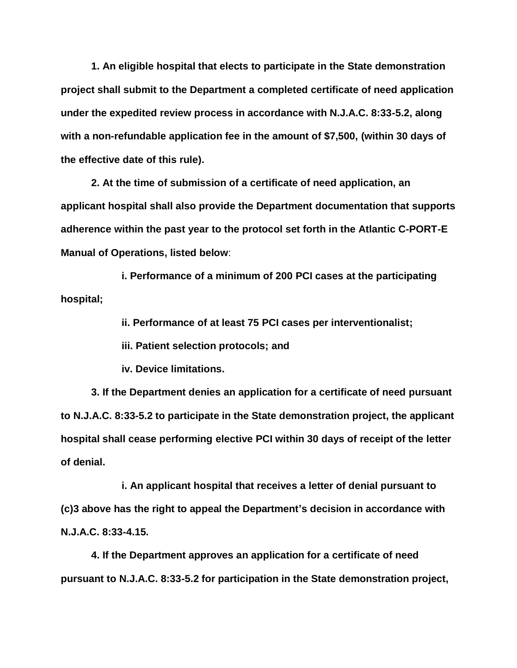**1. An eligible hospital that elects to participate in the State demonstration project shall submit to the Department a completed certificate of need application under the expedited review process in accordance with N.J.A.C. 8:33-5.2, along with a non-refundable application fee in the amount of \$7,500, (within 30 days of the effective date of this rule).**

**2. At the time of submission of a certificate of need application, an applicant hospital shall also provide the Department documentation that supports adherence within the past year to the protocol set forth in the Atlantic C-PORT-E Manual of Operations, listed below**:

**i. Performance of a minimum of 200 PCI cases at the participating hospital;**

**ii. Performance of at least 75 PCI cases per interventionalist;**

**iii. Patient selection protocols; and**

**iv. Device limitations.**

**3. If the Department denies an application for a certificate of need pursuant to N.J.A.C. 8:33-5.2 to participate in the State demonstration project, the applicant hospital shall cease performing elective PCI within 30 days of receipt of the letter of denial.**

**i. An applicant hospital that receives a letter of denial pursuant to (c)3 above has the right to appeal the Department's decision in accordance with N.J.A.C. 8:33-4.15.**

**4. If the Department approves an application for a certificate of need pursuant to N.J.A.C. 8:33-5.2 for participation in the State demonstration project,**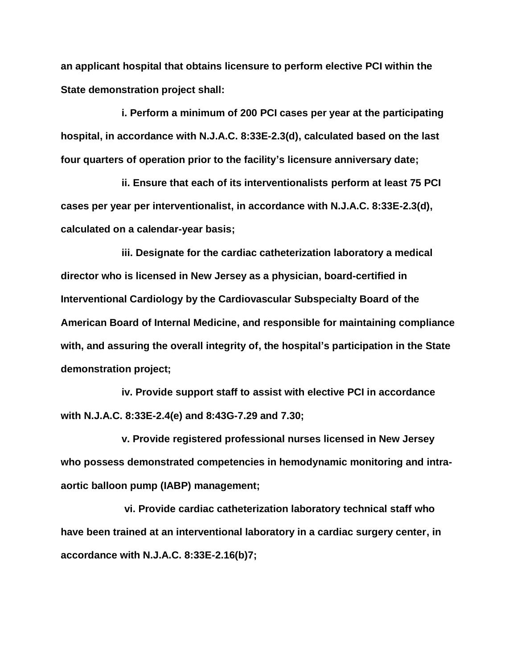**an applicant hospital that obtains licensure to perform elective PCI within the State demonstration project shall:**

**i. Perform a minimum of 200 PCI cases per year at the participating hospital, in accordance with N.J.A.C. 8:33E-2.3(d), calculated based on the last four quarters of operation prior to the facility's licensure anniversary date;**

**ii. Ensure that each of its interventionalists perform at least 75 PCI cases per year per interventionalist, in accordance with N.J.A.C. 8:33E-2.3(d), calculated on a calendar-year basis;**

**iii. Designate for the cardiac catheterization laboratory a medical director who is licensed in New Jersey as a physician, board-certified in Interventional Cardiology by the Cardiovascular Subspecialty Board of the American Board of Internal Medicine, and responsible for maintaining compliance with, and assuring the overall integrity of, the hospital's participation in the State demonstration project;**

**iv. Provide support staff to assist with elective PCI in accordance with N.J.A.C. 8:33E-2.4(e) and 8:43G-7.29 and 7.30;**

**v. Provide registered professional nurses licensed in New Jersey who possess demonstrated competencies in hemodynamic monitoring and intraaortic balloon pump (IABP) management;**

**vi. Provide cardiac catheterization laboratory technical staff who have been trained at an interventional laboratory in a cardiac surgery center, in accordance with N.J.A.C. 8:33E-2.16(b)7;**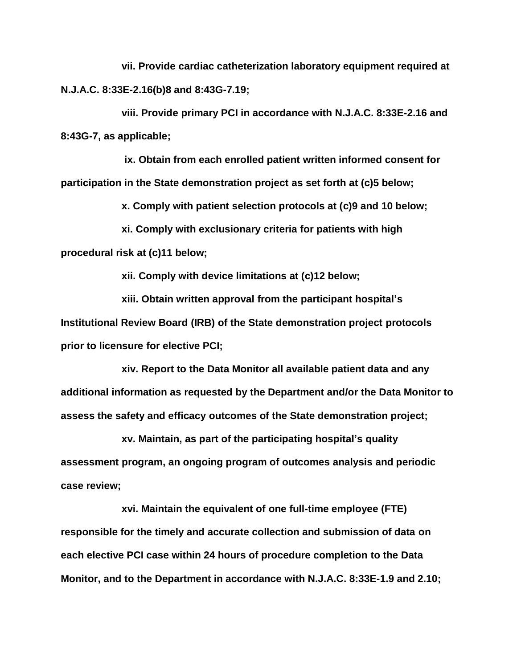**vii. Provide cardiac catheterization laboratory equipment required at N.J.A.C. 8:33E-2.16(b)8 and 8:43G-7.19;**

**viii. Provide primary PCI in accordance with N.J.A.C. 8:33E-2.16 and 8:43G-7, as applicable;**

**ix. Obtain from each enrolled patient written informed consent for participation in the State demonstration project as set forth at (c)5 below;**

**x. Comply with patient selection protocols at (c)9 and 10 below;**

**xi. Comply with exclusionary criteria for patients with high procedural risk at (c)11 below;** 

**xii. Comply with device limitations at (c)12 below;**

**xiii. Obtain written approval from the participant hospital's Institutional Review Board (IRB) of the State demonstration project protocols prior to licensure for elective PCI;**

**xiv. Report to the Data Monitor all available patient data and any additional information as requested by the Department and/or the Data Monitor to assess the safety and efficacy outcomes of the State demonstration project;**

**xv. Maintain, as part of the participating hospital's quality assessment program, an ongoing program of outcomes analysis and periodic case review;**

**xvi. Maintain the equivalent of one full-time employee (FTE) responsible for the timely and accurate collection and submission of data on each elective PCI case within 24 hours of procedure completion to the Data Monitor, and to the Department in accordance with N.J.A.C. 8:33E-1.9 and 2.10;**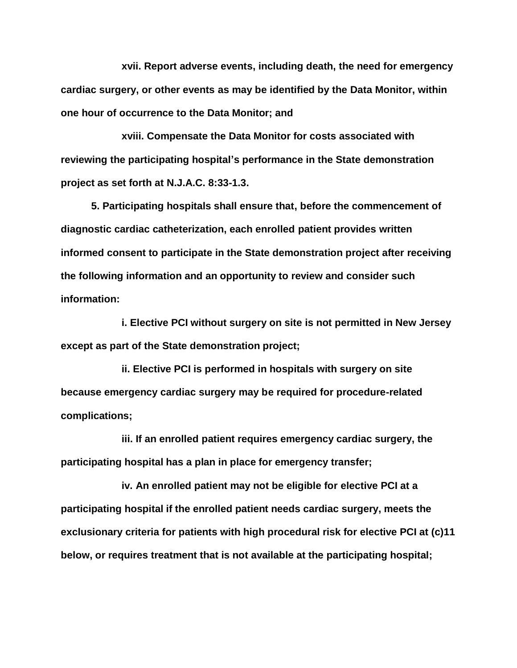**xvii. Report adverse events, including death, the need for emergency cardiac surgery, or other events as may be identified by the Data Monitor, within one hour of occurrence to the Data Monitor; and**

**xviii. Compensate the Data Monitor for costs associated with reviewing the participating hospital's performance in the State demonstration project as set forth at N.J.A.C. 8:33-1.3.**

**5. Participating hospitals shall ensure that, before the commencement of diagnostic cardiac catheterization, each enrolled patient provides written informed consent to participate in the State demonstration project after receiving the following information and an opportunity to review and consider such information:**

**i. Elective PCI without surgery on site is not permitted in New Jersey except as part of the State demonstration project;**

**ii. Elective PCI is performed in hospitals with surgery on site because emergency cardiac surgery may be required for procedure-related complications;**

**iii. If an enrolled patient requires emergency cardiac surgery, the participating hospital has a plan in place for emergency transfer;**

**iv. An enrolled patient may not be eligible for elective PCI at a participating hospital if the enrolled patient needs cardiac surgery, meets the exclusionary criteria for patients with high procedural risk for elective PCI at (c)11 below, or requires treatment that is not available at the participating hospital;**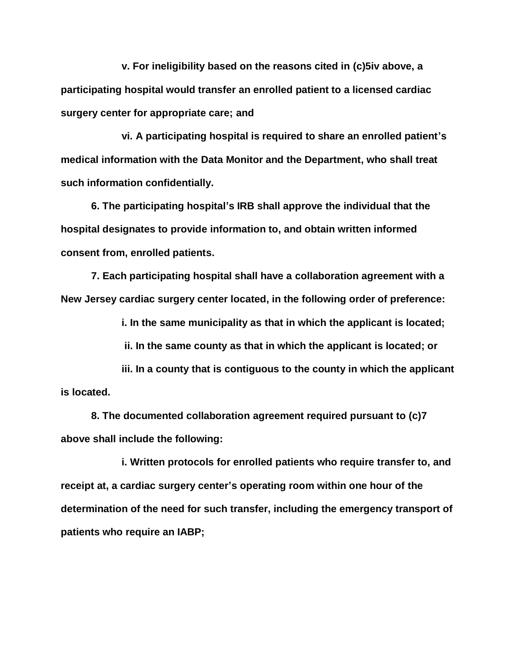**v. For ineligibility based on the reasons cited in (c)5iv above, a participating hospital would transfer an enrolled patient to a licensed cardiac surgery center for appropriate care; and**

**vi. A participating hospital is required to share an enrolled patient's medical information with the Data Monitor and the Department, who shall treat such information confidentially.**

**6. The participating hospital's IRB shall approve the individual that the hospital designates to provide information to, and obtain written informed consent from, enrolled patients.**

**7. Each participating hospital shall have a collaboration agreement with a New Jersey cardiac surgery center located, in the following order of preference:**

**i. In the same municipality as that in which the applicant is located;**

**ii. In the same county as that in which the applicant is located; or**

**iii. In a county that is contiguous to the county in which the applicant is located.**

**8. The documented collaboration agreement required pursuant to (c)7 above shall include the following:**

**i. Written protocols for enrolled patients who require transfer to, and receipt at, a cardiac surgery center's operating room within one hour of the determination of the need for such transfer, including the emergency transport of patients who require an IABP;**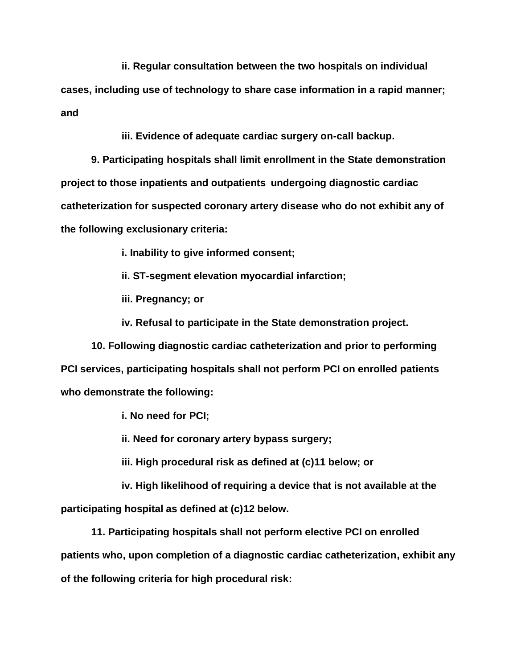**ii. Regular consultation between the two hospitals on individual** 

**cases, including use of technology to share case information in a rapid manner; and**

**iii. Evidence of adequate cardiac surgery on-call backup.**

**9. Participating hospitals shall limit enrollment in the State demonstration project to those inpatients and outpatients undergoing diagnostic cardiac catheterization for suspected coronary artery disease who do not exhibit any of the following exclusionary criteria:**

**i. Inability to give informed consent;**

**ii. ST-segment elevation myocardial infarction;**

**iii. Pregnancy; or**

**iv. Refusal to participate in the State demonstration project.**

**10. Following diagnostic cardiac catheterization and prior to performing PCI services, participating hospitals shall not perform PCI on enrolled patients who demonstrate the following:**

**i. No need for PCI;**

**ii. Need for coronary artery bypass surgery;**

**iii. High procedural risk as defined at (c)11 below; or**

**iv. High likelihood of requiring a device that is not available at the participating hospital as defined at (c)12 below.**

**11. Participating hospitals shall not perform elective PCI on enrolled patients who, upon completion of a diagnostic cardiac catheterization, exhibit any of the following criteria for high procedural risk:**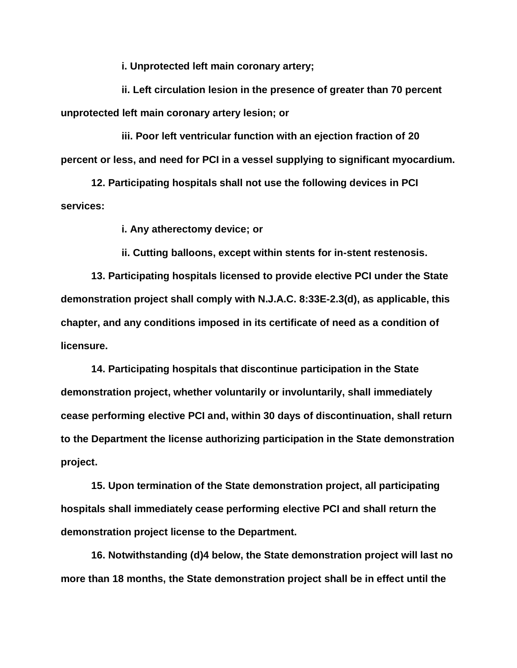**i. Unprotected left main coronary artery;**

**ii. Left circulation lesion in the presence of greater than 70 percent unprotected left main coronary artery lesion; or**

**iii. Poor left ventricular function with an ejection fraction of 20 percent or less, and need for PCI in a vessel supplying to significant myocardium.**

**12. Participating hospitals shall not use the following devices in PCI services:**

**i. Any atherectomy device; or**

**ii. Cutting balloons, except within stents for in-stent restenosis.**

**13. Participating hospitals licensed to provide elective PCI under the State demonstration project shall comply with N.J.A.C. 8:33E-2.3(d), as applicable, this chapter, and any conditions imposed in its certificate of need as a condition of licensure.**

**14. Participating hospitals that discontinue participation in the State demonstration project, whether voluntarily or involuntarily, shall immediately cease performing elective PCI and, within 30 days of discontinuation, shall return to the Department the license authorizing participation in the State demonstration project.**

**15. Upon termination of the State demonstration project, all participating hospitals shall immediately cease performing elective PCI and shall return the demonstration project license to the Department.**

**16. Notwithstanding (d)4 below, the State demonstration project will last no more than 18 months, the State demonstration project shall be in effect until the**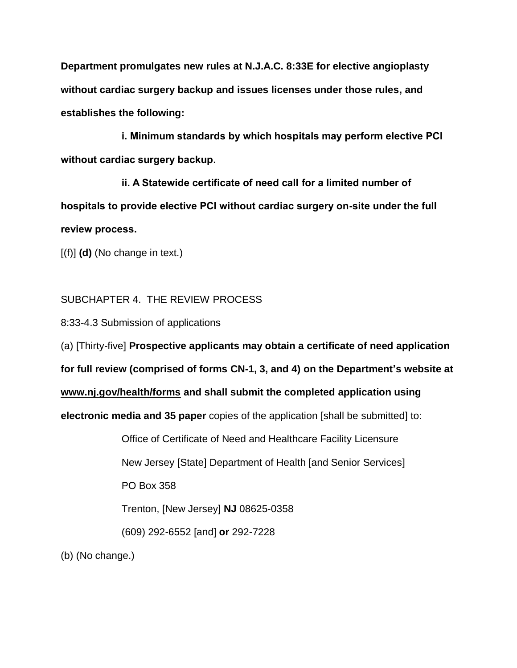**Department promulgates new rules at N.J.A.C. 8:33E for elective angioplasty without cardiac surgery backup and issues licenses under those rules, and establishes the following:**

**i. Minimum standards by which hospitals may perform elective PCI without cardiac surgery backup.**

**ii. A Statewide certificate of need call for a limited number of hospitals to provide elective PCI without cardiac surgery on-site under the full review process.** 

[(f)] **(d)** (No change in text.)

SUBCHAPTER 4. THE REVIEW PROCESS

8:33-4.3 Submission of applications

(a) [Thirty-five] **Prospective applicants may obtain a certificate of need application** 

**for full review (comprised of forms CN-1, 3, and 4) on the Department's website at**

**www.nj.gov/health/forms and shall submit the completed application using**

**electronic media and 35 paper** copies of the application [shall be submitted] to:

Office of Certificate of Need and Healthcare Facility Licensure New Jersey [State] Department of Health [and Senior Services] PO Box 358 Trenton, [New Jersey] **NJ** 08625-0358 (609) 292-6552 [and] **or** 292-7228

(b) (No change.)